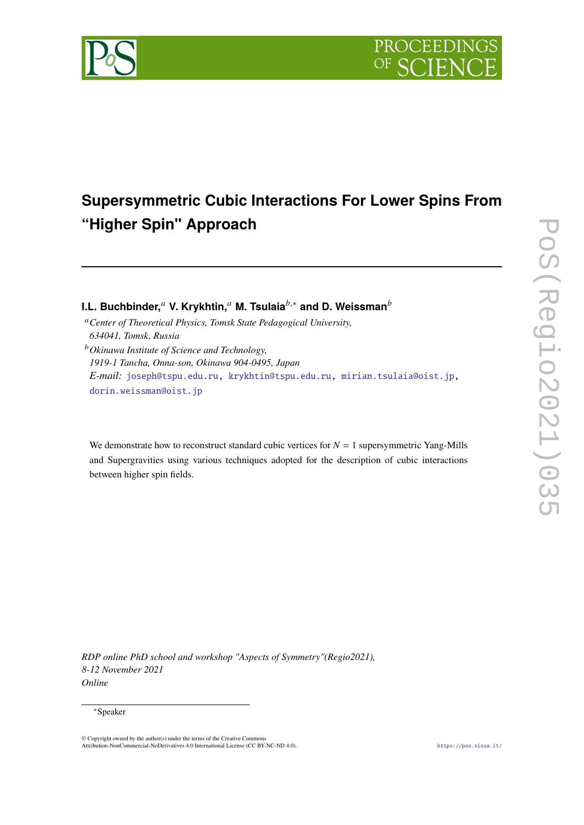

# **Supersymmetric Cubic Interactions For Lower Spins From "Higher Spin" Approach**

**I.L. Buchbinder,<sup>***a***</sup> Ⅴ. Krykhtin,<sup>***a***</sup> M. Tsulaia<sup>** $b,*$ **</sup> and D. Weissman<sup>***b***</sup>** 

*Center of Theoretical Physics, Tomsk State Pedagogical University, 634041, Tomsk, Russia Okinawa Institute of Science and Technology,*

*1919-1 Tancha, Onna-son, Okinawa 904-0495, Japan E-mail:* [joseph@tspu.edu.ru,](mailto:joseph@tspu.edu.ru) [krykhtin@tspu.edu.ru,](mailto:krykhtin@tspu.edu.ru) [mirian.tsulaia@oist.jp,](mailto:mirian.tsulaia@oist.jp) [dorin.weissman@oist.jp](mailto:dorin.weissman@oist.jp)

We demonstrate how to reconstruct standard cubic vertices for  $N = 1$  supersymmetric Yang-Mills and Supergravities using various techniques adopted for the description of cubic interactions between higher spin fields.

*RDP online PhD school and workshop "Aspects of Symmetry"(Regio2021), 8-12 November 2021 Online*

### <sup>∗</sup>Speaker

<sup>©</sup> Copyright owned by the author(s) under the terms of the Creative Commons Attribution-NonCommercial-NoDerivatives 4.0 International License (CC BY-NC-ND 4.0). <https://pos.sissa.it/>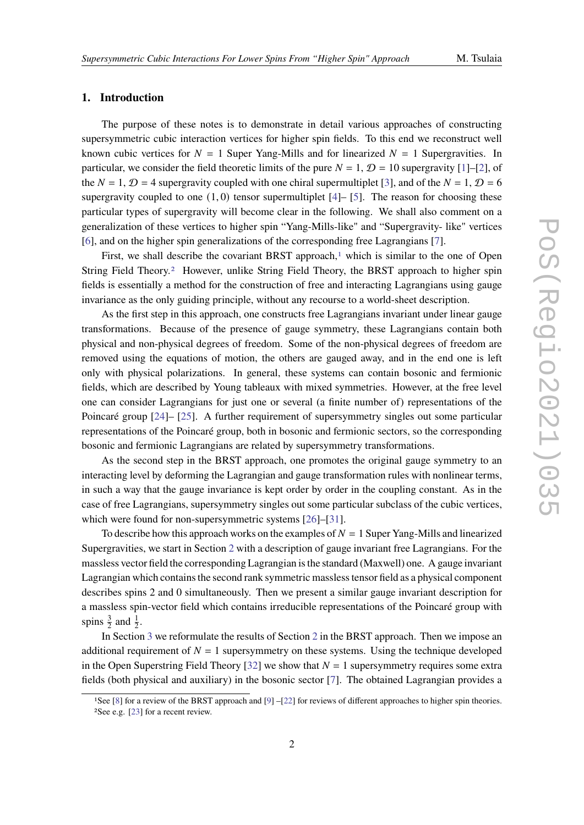### **1. Introduction**

The purpose of these notes is to demonstrate in detail various approaches of constructing supersymmetric cubic interaction vertices for higher spin fields. To this end we reconstruct well known cubic vertices for  $N = 1$  Super Yang-Mills and for linearized  $N = 1$  Supergravities. In particular, we consider the field theoretic limits of the pure  $N = 1$ ,  $\mathcal{D} = 10$  supergravity [\[1\]](#page-22-0)–[\[2\]](#page-22-1), of the  $N = 1$ ,  $\mathcal{D} = 4$  supergravity coupled with one chiral supermultiplet [\[3\]](#page-22-2), and of the  $N = 1$ ,  $\mathcal{D} = 6$ supergravity coupled to one  $(1, 0)$  tensor supermultiplet  $[4]$ – [\[5\]](#page-22-4). The reason for choosing these particular types of supergravity will become clear in the following. We shall also comment on a generalization of these vertices to higher spin "Yang-Mills-like" and "Supergravity- like" vertices [\[6\]](#page-22-5), and on the higher spin generalizations of the corresponding free Lagrangians [\[7\]](#page-22-6).

First, we shall describe the covariant BRST approach, $\frac{1}{1}$  $\frac{1}{1}$  $\frac{1}{1}$  which is similar to the one of Open String Field Theory.[2](#page-1-1) However, unlike String Field Theory, the BRST approach to higher spin fields is essentially a method for the construction of free and interacting Lagrangians using gauge invariance as the only guiding principle, without any recourse to a world-sheet description.

As the first step in this approach, one constructs free Lagrangians invariant under linear gauge transformations. Because of the presence of gauge symmetry, these Lagrangians contain both physical and non-physical degrees of freedom. Some of the non-physical degrees of freedom are removed using the equations of motion, the others are gauged away, and in the end one is left only with physical polarizations. In general, these systems can contain bosonic and fermionic fields, which are described by Young tableaux with mixed symmetries. However, at the free level one can consider Lagrangians for just one or several (a finite number of) representations of the Poincaré group [\[24\]](#page-23-0)– [\[25\]](#page-24-0). A further requirement of supersymmetry singles out some particular representations of the Poincaré group, both in bosonic and fermionic sectors, so the corresponding bosonic and fermionic Lagrangians are related by supersymmetry transformations.

As the second step in the BRST approach, one promotes the original gauge symmetry to an interacting level by deforming the Lagrangian and gauge transformation rules with nonlinear terms, in such a way that the gauge invariance is kept order by order in the coupling constant. As in the case of free Lagrangians, supersymmetry singles out some particular subclass of the cubic vertices, which were found for non-supersymmetric systems [\[26\]](#page-24-1)–[\[31\]](#page-24-2).

To describe how this approach works on the examples of  $N = 1$  Super Yang-Mills and linearized Supergravities, we start in Section [2](#page-2-0) with a description of gauge invariant free Lagrangians. For the massless vector field the corresponding Lagrangian is the standard (Maxwell) one. A gauge invariant Lagrangian which contains the second rank symmetric massless tensor field as a physical component describes spins 2 and 0 simultaneously. Then we present a similar gauge invariant description for a massless spin-vector field which contains irreducible representations of the Poincaré group with spins  $\frac{3}{2}$  and  $\frac{1}{2}$ .

In Section [3](#page-4-0) we reformulate the results of Section [2](#page-2-0) in the BRST approach. Then we impose an additional requirement of  $N = 1$  supersymmetry on these systems. Using the technique developed in the Open Superstring Field Theory [\[32\]](#page-24-3) we show that  $N = 1$  supersymmetry requires some extra fields (both physical and auxiliary) in the bosonic sector [\[7\]](#page-22-6). The obtained Lagrangian provides a

<span id="page-1-1"></span><span id="page-1-0"></span><sup>1</sup>See [\[8\]](#page-22-7) for a review of the BRST approach and [\[9\]](#page-23-1) –[\[22\]](#page-23-2) for reviews of different approaches to higher spin theories. 2See e.g. [\[23\]](#page-23-3) for a recent review.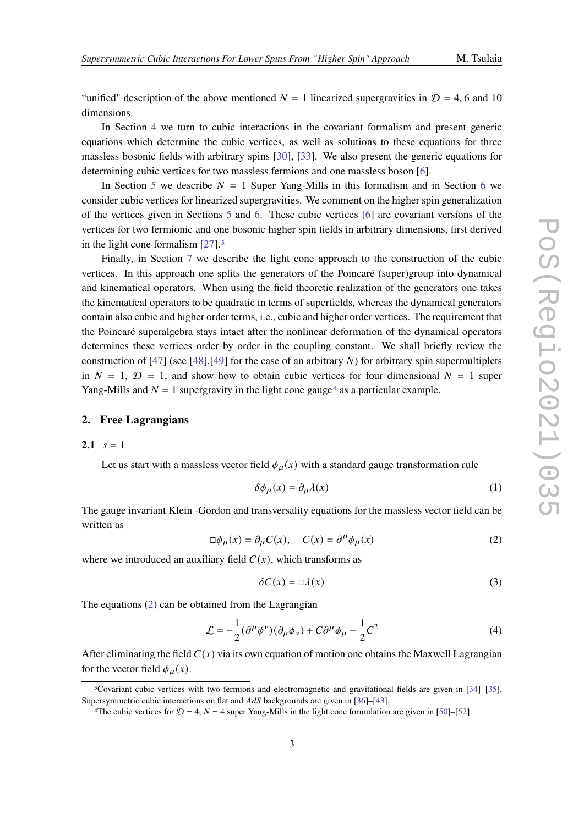"unified" description of the above mentioned  $N = 1$  linearized supergravities in  $\mathcal{D} = 4, 6$  and 10 dimensions.

In Section [4](#page-9-0) we turn to cubic interactions in the covariant formalism and present generic equations which determine the cubic vertices, as well as solutions to these equations for three massless bosonic fields with arbitrary spins [\[30\]](#page-24-4), [\[33\]](#page-24-5). We also present the generic equations for determining cubic vertices for two massless fermions and one massless boson [\[6\]](#page-22-5).

In Section [5](#page-11-0) we describe  $N = 1$  Super Yang-Mills in this formalism and in Section [6](#page-13-0) we consider cubic vertices for linearized supergravities. We comment on the higher spin generalization of the vertices given in Sections [5](#page-11-0) and [6.](#page-13-0) These cubic vertices [\[6\]](#page-22-5) are covariant versions of the vertices for two fermionic and one bosonic higher spin fields in arbitrary dimensions, first derived in the light cone formalism [\[27\]](#page-24-6).[3](#page-2-1)

Finally, in Section [7](#page-16-0) we describe the light cone approach to the construction of the cubic vertices. In this approach one splits the generators of the Poincaré (super)group into dynamical and kinematical operators. When using the field theoretic realization of the generators one takes the kinematical operators to be quadratic in terms of superfields, whereas the dynamical generators contain also cubic and higher order terms, i.e., cubic and higher order vertices. The requirement that the Poincaré superalgebra stays intact after the nonlinear deformation of the dynamical operators determines these vertices order by order in the coupling constant. We shall briefly review the construction of [\[47\]](#page-25-0) (see [\[48\]](#page-25-1),[\[49\]](#page-25-2) for the case of an arbitrary  $N$ ) for arbitrary spin supermultiplets in  $N = 1$ ,  $\mathcal{D} = 1$ , and show how to obtain cubic vertices for four dimensional  $N = 1$  super Yang-Mills and  $N = 1$  supergravity in the light cone gauge<sup>[4](#page-2-2)</sup> as a particular example.

#### <span id="page-2-0"></span>**2. Free Lagrangians**

#### **2.1**  $s = 1$

Let us start with a massless vector field  $\phi_{\mu}(x)$  with a standard gauge transformation rule

<span id="page-2-5"></span>
$$
\delta\phi_{\mu}(x) = \partial_{\mu}\lambda(x) \tag{1}
$$

The gauge invariant Klein -Gordon and transversality equations for the massless vector field can be written as

<span id="page-2-3"></span>
$$
\Box \phi_{\mu}(x) = \partial_{\mu} C(x), \quad C(x) = \partial^{\mu} \phi_{\mu}(x) \tag{2}
$$

where we introduced an auxiliary field  $C(x)$ , which transforms as

<span id="page-2-6"></span>
$$
\delta C(x) = \Box \lambda(x) \tag{3}
$$

The equations [\(2\)](#page-2-3) can be obtained from the Lagrangian

<span id="page-2-4"></span>
$$
\mathcal{L} = -\frac{1}{2} (\partial^{\mu} \phi^{\nu}) (\partial_{\mu} \phi_{\nu}) + C \partial^{\mu} \phi_{\mu} - \frac{1}{2} C^{2}
$$
 (4)

After eliminating the field  $C(x)$  via its own equation of motion one obtains the Maxwell Lagrangian for the vector field  $\phi_u(x)$ .

<span id="page-2-1"></span><sup>3</sup>Covariant cubic vertices with two fermions and electromagnetic and gravitational fields are given in [\[34\]](#page-24-7)–[\[35\]](#page-24-8). Supersymmetric cubic interactions on flat and  $AdS$  backgrounds are given in [\[36\]](#page-24-9)–[\[43\]](#page-25-3).

<span id="page-2-2"></span><sup>&</sup>lt;sup>4</sup>The cubic vertices for  $\mathcal{D} = 4$ ,  $N = 4$  super Yang-Mills in the light cone formulation are given in [\[50\]](#page-25-4)–[\[52\]](#page-25-5).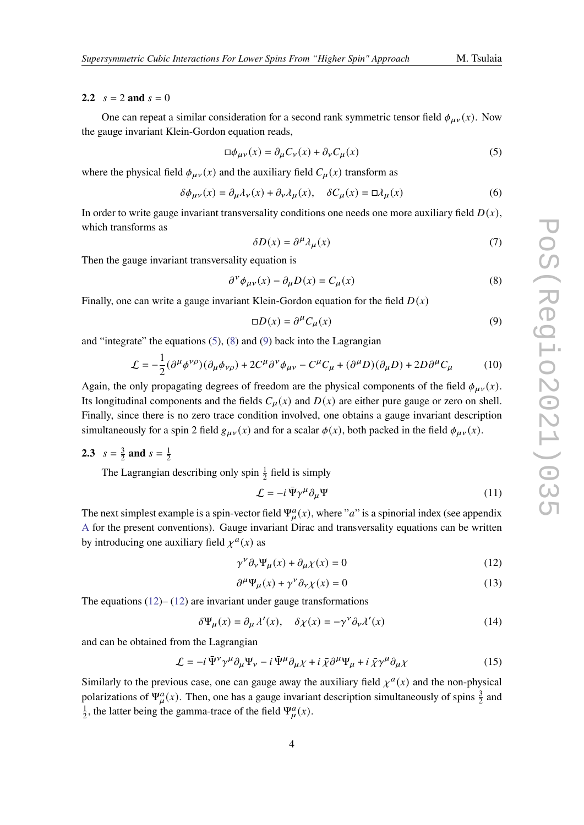#### <span id="page-3-4"></span>**2.2**  $s = 2$  **and**  $s = 0$

One can repeat a similar consideration for a second rank symmetric tensor field  $\phi_{\mu\nu}(x)$ . Now the gauge invariant Klein-Gordon equation reads,

<span id="page-3-0"></span>
$$
\Box \phi_{\mu\nu}(x) = \partial_{\mu} C_{\nu}(x) + \partial_{\nu} C_{\mu}(x) \tag{5}
$$

where the physical field  $\phi_{\mu\nu}(x)$  and the auxiliary field  $C_{\mu}(x)$  transform as

<span id="page-3-6"></span>
$$
\delta\phi_{\mu\nu}(x) = \partial_{\mu}\lambda_{\nu}(x) + \partial_{\nu}\lambda_{\mu}(x), \quad \delta C_{\mu}(x) = \Box \lambda_{\mu}(x)
$$
(6)

In order to write gauge invariant transversality conditions one needs one more auxiliary field  $D(x)$ , which transforms as

<span id="page-3-7"></span>
$$
\delta D(x) = \partial^{\mu} \lambda_{\mu}(x) \tag{7}
$$

Then the gauge invariant transversality equation is

<span id="page-3-1"></span>
$$
\partial^{\nu} \phi_{\mu\nu}(x) - \partial_{\mu} D(x) = C_{\mu}(x)
$$
\n(8)

Finally, one can write a gauge invariant Klein-Gordon equation for the field  $D(x)$ 

<span id="page-3-2"></span>
$$
\Box D(x) = \partial^{\mu} C_{\mu}(x) \tag{9}
$$

and "integrate" the equations  $(5)$ ,  $(8)$  and  $(9)$  back into the Lagrangian

<span id="page-3-5"></span>
$$
\mathcal{L} = -\frac{1}{2} (\partial^{\mu} \phi^{\nu \rho}) (\partial_{\mu} \phi_{\nu \rho}) + 2C^{\mu} \partial^{\nu} \phi_{\mu \nu} - C^{\mu} C_{\mu} + (\partial^{\mu} D)(\partial_{\mu} D) + 2D \partial^{\mu} C_{\mu}
$$
 (10)

Again, the only propagating degrees of freedom are the physical components of the field  $\phi_{\mu\nu}(x)$ . Its longitudinal components and the fields  $C_{\mu}(x)$  and  $D(x)$  are either pure gauge or zero on shell. Finally, since there is no zero trace condition involved, one obtains a gauge invariant description simultaneously for a spin 2 field  $g_{\mu\nu}(x)$  and for a scalar  $\phi(x)$ , both packed in the field  $\phi_{\mu\nu}(x)$ .

#### <span id="page-3-9"></span>**2.3**  $s = \frac{3}{2}$  $\frac{3}{2}$  **and**  $s = \frac{1}{2}$ 2

The Lagrangian describing only spin  $\frac{1}{2}$  field is simply

$$
\mathcal{L} = -i \,\bar{\Psi} \gamma^{\mu} \partial_{\mu} \Psi \tag{11}
$$

The next simplest example is a spin-vector field  $\Psi^a_\mu(x)$ , where "a" is a spinorial index (see appendix [A](#page-19-0) for the present conventions). Gauge invariant Dirac and transversality equations can be written by introducing one auxiliary field  $\chi^a(x)$  as

<span id="page-3-3"></span>
$$
\gamma^{\nu} \partial_{\nu} \Psi_{\mu}(x) + \partial_{\mu} \chi(x) = 0 \tag{12}
$$

$$
\partial^{\mu} \Psi_{\mu}(x) + \gamma^{\nu} \partial_{\nu} \chi(x) = 0 \tag{13}
$$

The equations  $(12)$ – $(12)$  are invariant under gauge transformations

$$
\delta\Psi_{\mu}(x) = \partial_{\mu} \lambda'(x), \quad \delta\chi(x) = -\gamma^{\nu} \partial_{\nu} \lambda'(x) \tag{14}
$$

and can be obtained from the Lagrangian

<span id="page-3-8"></span>
$$
\mathcal{L} = -i \bar{\Psi}^{\nu} \gamma^{\mu} \partial_{\mu} \Psi_{\nu} - i \bar{\Psi}^{\mu} \partial_{\mu} \chi + i \bar{\chi} \partial^{\mu} \Psi_{\mu} + i \bar{\chi} \gamma^{\mu} \partial_{\mu} \chi \tag{15}
$$

Similarly to the previous case, one can gauge away the auxiliary field  $\chi^a(x)$  and the non-physical polarizations of  $\Psi^a_\mu(x)$ . Then, one has a gauge invariant description simultaneously of spins  $\frac{3}{2}$  and 1  $\frac{1}{2}$ , the latter being the gamma-trace of the field  $\Psi^a_\mu(x)$ .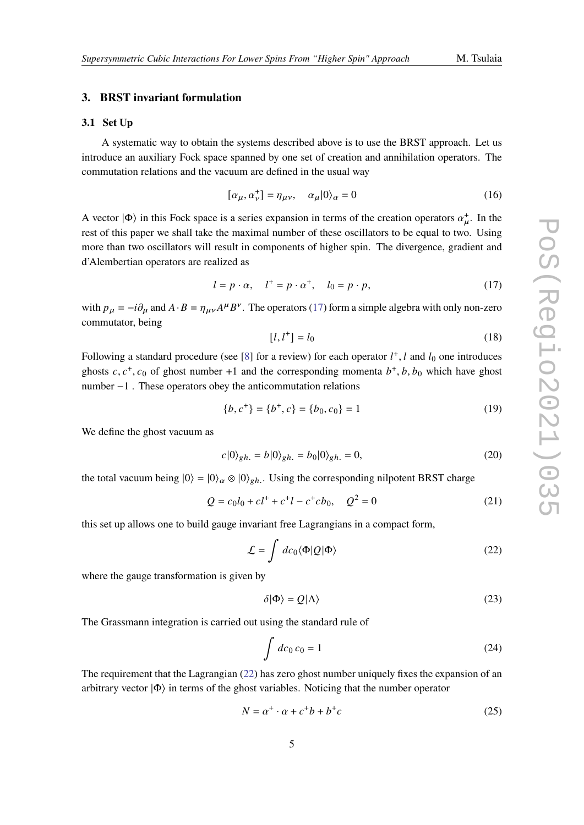### <span id="page-4-0"></span>**3. BRST invariant formulation**

#### **3.1 Set Up**

A systematic way to obtain the systems described above is to use the BRST approach. Let us introduce an auxiliary Fock space spanned by one set of creation and annihilation operators. The commutation relations and the vacuum are defined in the usual way

$$
[\alpha_{\mu}, \alpha_{\nu}^+] = \eta_{\mu\nu}, \quad \alpha_{\mu} |0\rangle_{\alpha} = 0 \tag{16}
$$

A vector  $|\Phi\rangle$  in this Fock space is a series expansion in terms of the creation operators  $\alpha^+_{\mu}$ . In the rest of this paper we shall take the maximal number of these oscillators to be equal to two. Using more than two oscillators will result in components of higher spin. The divergence, gradient and d'Alembertian operators are realized as

<span id="page-4-1"></span>
$$
l = p \cdot \alpha, \quad l^+ = p \cdot \alpha^+, \quad l_0 = p \cdot p,\tag{17}
$$

with  $p_{\mu} = -i\partial_{\mu}$  and  $A \cdot B = \eta_{\mu\nu}A^{\mu}B^{\nu}$ . The operators [\(17\)](#page-4-1) form a simple algebra with only non-zero commutator, being

$$
[l, l^+] = l_0 \tag{18}
$$

Following a standard procedure (see [\[8\]](#page-22-7) for a review) for each operator  $l^+$ , l and  $l_0$  one introduces ghosts  $c, c^+, c_0$  of ghost number +1 and the corresponding momenta  $b^+, b, b_0$  which have ghost number −1 . These operators obey the anticommutation relations

$$
\{b, c^+\} = \{b^+, c\} = \{b_0, c_0\} = 1\tag{19}
$$

We define the ghost vacuum as

$$
c|0\rangle_{gh.} = b|0\rangle_{gh.} = b_0|0\rangle_{gh.} = 0,
$$
\n(20)

the total vacuum being  $|0\rangle = |0\rangle_{\alpha} \otimes |0\rangle_{eh}$ . Using the corresponding nilpotent BRST charge

<span id="page-4-3"></span>
$$
Q = c_0 l_0 + c l^+ + c^+ l - c^+ c b_0, \quad Q^2 = 0 \tag{21}
$$

this set up allows one to build gauge invariant free Lagrangians in a compact form,

<span id="page-4-2"></span>
$$
\mathcal{L} = \int d c_0 \langle \Phi | Q | \Phi \rangle \tag{22}
$$

where the gauge transformation is given by

$$
\delta|\Phi\rangle = Q|\Lambda\rangle \tag{23}
$$

The Grassmann integration is carried out using the standard rule of

<span id="page-4-4"></span>
$$
\int dc_0 c_0 = 1\tag{24}
$$

The requirement that the Lagrangian [\(22\)](#page-4-2) has zero ghost number uniquely fixes the expansion of an arbitrary vector  $|\Phi\rangle$  in terms of the ghost variables. Noticing that the number operator

$$
N = \alpha^+ \cdot \alpha + c^+b + b^+c \tag{25}
$$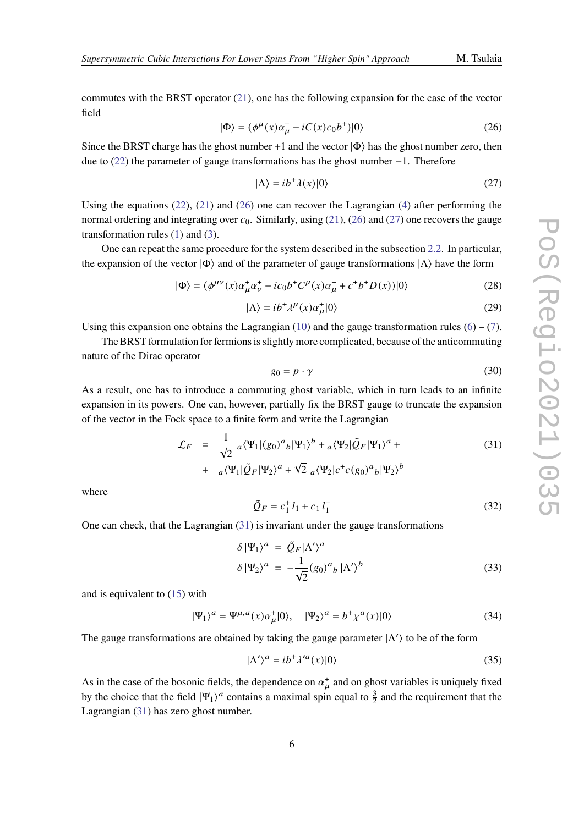commutes with the BRST operator [\(21\)](#page-4-3), one has the following expansion for the case of the vector field

<span id="page-5-0"></span>
$$
|\Phi\rangle = (\phi^{\mu}(x)\alpha_{\mu}^{+} - iC(x)c_{0}b^{+})|0\rangle \tag{26}
$$

Since the BRST charge has the ghost number +1 and the vector  $|\Phi\rangle$  has the ghost number zero, then due to [\(22\)](#page-4-2) the parameter of gauge transformations has the ghost number −1. Therefore

<span id="page-5-1"></span>
$$
|\Lambda\rangle = ib^{+}\lambda(x)|0\rangle \tag{27}
$$

Using the equations [\(22\)](#page-4-2), [\(21\)](#page-4-3) and [\(26\)](#page-5-0) one can recover the Lagrangian [\(4\)](#page-2-4) after performing the normal ordering and integrating over  $c_0$ . Similarly, using [\(21\)](#page-4-3), [\(26\)](#page-5-0) and [\(27\)](#page-5-1) one recovers the gauge transformation rules [\(1\)](#page-2-5) and [\(3\)](#page-2-6).

One can repeat the same procedure for the system described in the subsection [2.2.](#page-3-4) In particular, the expansion of the vector  $|\Phi\rangle$  and of the parameter of gauge transformations  $|\Lambda\rangle$  have the form

$$
|\Phi\rangle = (\phi^{\mu\nu}(x)\alpha_{\mu}^{+}\alpha_{\nu}^{+} - ic_{0}b^{+}C^{\mu}(x)\alpha_{\mu}^{+} + c^{+}b^{+}D(x))|0\rangle \tag{28}
$$

$$
|\Lambda\rangle = ib^{+} \lambda^{\mu}(x) \alpha_{\mu}^{+} |0\rangle \tag{29}
$$

Using this expansion one obtains the Lagrangian [\(10\)](#page-3-5) and the gauge transformation rules [\(6\)](#page-3-6) – [\(7\)](#page-3-7).

The BRST formulation for fermions is slightly more complicated, because of the anticommuting nature of the Dirac operator

$$
g_0 = p \cdot \gamma \tag{30}
$$

As a result, one has to introduce a commuting ghost variable, which in turn leads to an infinite expansion in its powers. One can, however, partially fix the BRST gauge to truncate the expansion of the vector in the Fock space to a finite form and write the Lagrangian

<span id="page-5-2"></span>
$$
\mathcal{L}_F = \frac{1}{\sqrt{2}} a \langle \Psi_1 | (g_0)^a{}_b | \Psi_1 \rangle^b + a \langle \Psi_2 | \tilde{Q}_F | \Psi_1 \rangle^a +
$$
  
+ 
$$
a \langle \Psi_1 | \tilde{Q}_F | \Psi_2 \rangle^a + \sqrt{2} a \langle \Psi_2 | c^+ c (g_0)^a{}_b | \Psi_2 \rangle^b
$$
 (31)

where

$$
\tilde{Q}_F = c_1^+ l_1 + c_1 l_1^+
$$
\n(32)

One can check, that the Lagrangian [\(31\)](#page-5-2) is invariant under the gauge transformations

$$
\delta |\Psi_1\rangle^a = \tilde{Q}_F |\Lambda'\rangle^a
$$
  
\n
$$
\delta |\Psi_2\rangle^a = -\frac{1}{\sqrt{2}} (g_0)^a{}_b |\Lambda'\rangle^b
$$
\n(33)

and is equivalent to [\(15\)](#page-3-8) with

$$
|\Psi_1\rangle^a = \Psi^{\mu,a}(x)\alpha^+_{\mu}|0\rangle, \quad |\Psi_2\rangle^a = b^+\chi^a(x)|0\rangle \tag{34}
$$

The gauge transformations are obtained by taking the gauge parameter  $|\Lambda'\rangle$  to be of the form

$$
|\Lambda'\rangle^a = ib^{\dagger} \lambda'^a(x)|0\rangle \tag{35}
$$

As in the case of the bosonic fields, the dependence on  $\alpha_{\mu}^{+}$  and on ghost variables is uniquely fixed by the choice that the field  $|\Psi_1\rangle^a$  contains a maximal spin equal to  $\frac{3}{2}$  and the requirement that the Lagrangian [\(31\)](#page-5-2) has zero ghost number.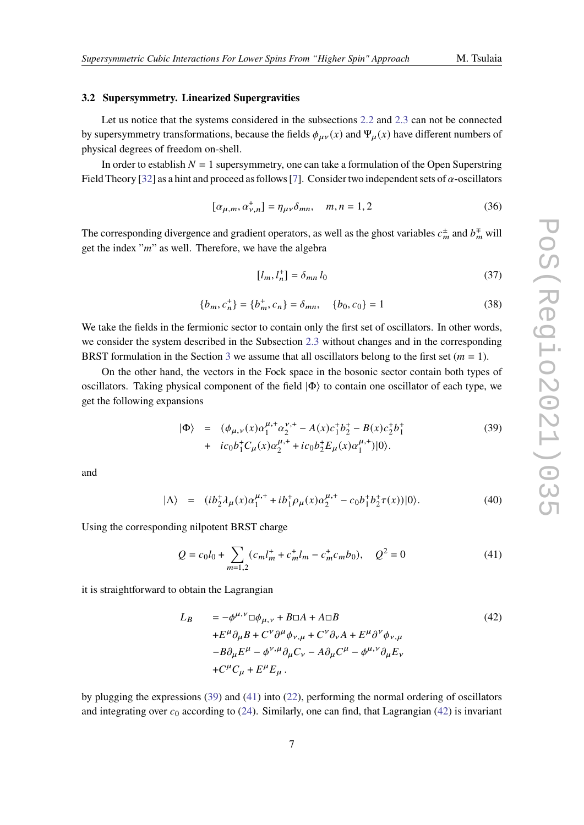#### <span id="page-6-3"></span>**3.2 Supersymmetry. Linearized Supergravities**

Let us notice that the systems considered in the subsections [2.2](#page-3-4) and [2.3](#page-3-9) can not be connected by supersymmetry transformations, because the fields  $\phi_{\mu\nu}(x)$  and  $\Psi_{\mu}(x)$  have different numbers of physical degrees of freedom on-shell.

In order to establish  $N = 1$  supersymmetry, one can take a formulation of the Open Superstring Field Theory [\[32\]](#page-24-3) as a hint and proceed as follows [\[7\]](#page-22-6). Consider two independent sets of  $\alpha$ -oscillators

$$
[\alpha_{\mu,m}, \alpha_{\nu,n}^+] = \eta_{\mu\nu} \delta_{mn}, \quad m, n = 1, 2 \tag{36}
$$

The corresponding divergence and gradient operators, as well as the ghost variables  $c_m^{\pm}$  and  $b_m^{\mp}$  will get the index " $m$ " as well. Therefore, we have the algebra

$$
[l_m, l_n^+] = \delta_{mn} l_0 \tag{37}
$$

$$
\{b_m, c_n^+\} = \{b_m^+, c_n\} = \delta_{mn}, \quad \{b_0, c_0\} = 1 \tag{38}
$$

We take the fields in the fermionic sector to contain only the first set of oscillators. In other words, we consider the system described in the Subsection [2.3](#page-3-9) without changes and in the corresponding BRST formulation in the Section [3](#page-4-0) we assume that all oscillators belong to the first set  $(m = 1)$ .

On the other hand, the vectors in the Fock space in the bosonic sector contain both types of oscillators. Taking physical component of the field  $|\Phi\rangle$  to contain one oscillator of each type, we get the following expansions

<span id="page-6-0"></span>
$$
|\Phi\rangle = (\phi_{\mu,\nu}(x)\alpha_1^{\mu,+}\alpha_2^{\nu,+} - A(x)c_1^+b_2^+ - B(x)c_2^+b_1^+ + ic_0b_1^+C_\mu(x)\alpha_2^{\mu,+} + ic_0b_2^+E_\mu(x)\alpha_1^{\mu,+})|0\rangle.
$$
 (39)

and

$$
|\Lambda\rangle = (ib_2^{\dagger}\lambda_{\mu}(x)\alpha_1^{\mu,+} + ib_1^{\dagger}\rho_{\mu}(x)\alpha_2^{\mu,+} - c_0b_1^{\dagger}b_2^{\dagger}\tau(x))|0\rangle. \tag{40}
$$

Using the corresponding nilpotent BRST charge

<span id="page-6-1"></span>
$$
Q = c_0 l_0 + \sum_{m=1,2} (c_m l_m^+ + c_m^+ l_m - c_m^+ c_m b_0), \quad Q^2 = 0 \tag{41}
$$

it is straightforward to obtain the Lagrangian

<span id="page-6-2"></span>
$$
L_B = -\phi^{\mu,\nu} \Box \phi_{\mu,\nu} + B \Box A + A \Box B
$$
  
+E^{\mu} \partial\_{\mu} B + C^{\nu} \partial^{\mu} \phi\_{\nu,\mu} + C^{\nu} \partial\_{\nu} A + E^{\mu} \partial^{\nu} \phi\_{\nu,\mu}  
-B \partial\_{\mu} E^{\mu} - \phi^{\nu,\mu} \partial\_{\mu} C\_{\nu} - A \partial\_{\mu} C^{\mu} - \phi^{\mu,\nu} \partial\_{\mu} E\_{\nu}  
+C^{\mu} C\_{\mu} + E^{\mu} E\_{\mu} . (42)

by plugging the expressions [\(39\)](#page-6-0) and [\(41\)](#page-6-1) into [\(22\)](#page-4-2), performing the normal ordering of oscillators and integrating over  $c_0$  according to [\(24\)](#page-4-4). Similarly, one can find, that Lagrangian [\(42\)](#page-6-2) is invariant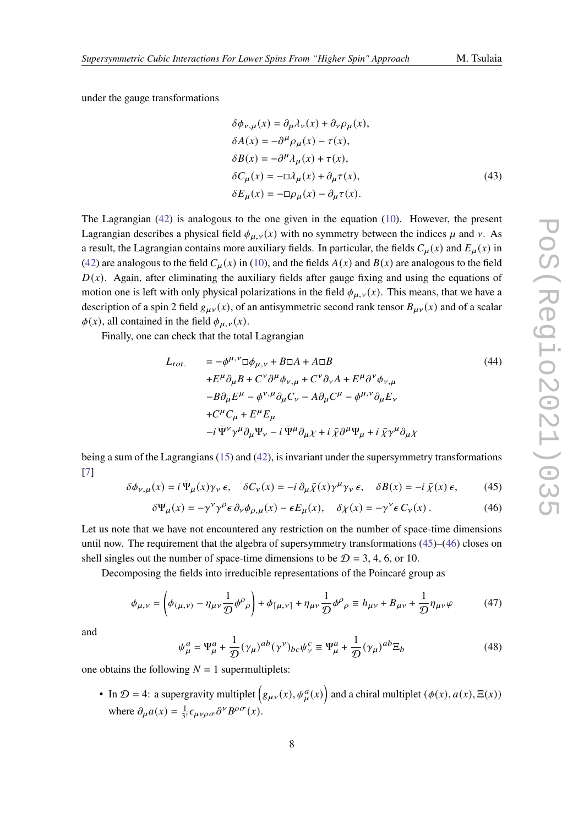under the gauge transformations

$$
\delta\phi_{\nu,\mu}(x) = \partial_{\mu}\lambda_{\nu}(x) + \partial_{\nu}\rho_{\mu}(x),
$$
  
\n
$$
\delta A(x) = -\partial^{\mu}\rho_{\mu}(x) - \tau(x),
$$
  
\n
$$
\delta B(x) = -\partial^{\mu}\lambda_{\mu}(x) + \tau(x),
$$
  
\n
$$
\delta C_{\mu}(x) = -\Box\lambda_{\mu}(x) + \partial_{\mu}\tau(x),
$$
  
\n
$$
\delta E_{\mu}(x) = -\Box\rho_{\mu}(x) - \partial_{\mu}\tau(x).
$$
\n(43)

The Lagrangian [\(42\)](#page-6-2) is analogous to the one given in the equation [\(10\)](#page-3-5). However, the present Lagrangian describes a physical field  $\phi_{\mu,\nu}(x)$  with no symmetry between the indices  $\mu$  and  $\nu$ . As a result, the Lagrangian contains more auxiliary fields. In particular, the fields  $C_{\mu}(x)$  and  $E_{\mu}(x)$  in [\(42\)](#page-6-2) are analogous to the field  $C_u(x)$  in [\(10\)](#page-3-5), and the fields  $A(x)$  and  $B(x)$  are analogous to the field  $D(x)$ . Again, after eliminating the auxiliary fields after gauge fixing and using the equations of motion one is left with only physical polarizations in the field  $\phi_{\mu,\nu}(x)$ . This means, that we have a description of a spin 2 field  $g_{\mu\nu}(x)$ , of an antisymmetric second rank tensor  $B_{\mu\nu}(x)$  and of a scalar  $\phi(x)$ , all contained in the field  $\phi_{\mu,\nu}(x)$ .

Finally, one can check that the total Lagrangian

<span id="page-7-2"></span>
$$
L_{tot.} = -\phi^{\mu,\nu} \Box \phi_{\mu,\nu} + B \Box A + A \Box B
$$
\n
$$
+ E^{\mu} \partial_{\mu} B + C^{\nu} \partial^{\mu} \phi_{\nu,\mu} + C^{\nu} \partial_{\nu} A + E^{\mu} \partial^{\nu} \phi_{\nu,\mu}
$$
\n
$$
-B \partial_{\mu} E^{\mu} - \phi^{\nu,\mu} \partial_{\mu} C_{\nu} - A \partial_{\mu} C^{\mu} - \phi^{\mu,\nu} \partial_{\mu} E_{\nu}
$$
\n
$$
+ C^{\mu} C_{\mu} + E^{\mu} E_{\mu}
$$
\n
$$
-i \bar{\Psi}^{\nu} \gamma^{\mu} \partial_{\mu} \Psi_{\nu} - i \bar{\Psi}^{\mu} \partial_{\mu} \chi + i \bar{\chi} \partial^{\mu} \Psi_{\mu} + i \bar{\chi} \gamma^{\mu} \partial_{\mu} \chi
$$
\n(44)

being a sum of the Lagrangians [\(15\)](#page-3-8) and [\(42\)](#page-6-2), is invariant under the supersymmetry transformations [\[7\]](#page-22-6)

<span id="page-7-0"></span>
$$
\delta \phi_{\nu,\mu}(x) = i \bar{\Psi}_{\mu}(x) \gamma_{\nu} \epsilon, \quad \delta C_{\nu}(x) = -i \partial_{\mu} \bar{\chi}(x) \gamma^{\mu} \gamma_{\nu} \epsilon, \quad \delta B(x) = -i \bar{\chi}(x) \epsilon,
$$
 (45)

<span id="page-7-1"></span>
$$
\delta \Psi_{\mu}(x) = -\gamma^{\nu} \gamma^{\rho} \epsilon \, \partial_{\nu} \phi_{\rho,\mu}(x) - \epsilon E_{\mu}(x), \quad \delta \chi(x) = -\gamma^{\nu} \epsilon \, C_{\nu}(x) \,. \tag{46}
$$

Let us note that we have not encountered any restriction on the number of space-time dimensions until now. The requirement that the algebra of supersymmetry transformations [\(45\)](#page-7-0)–[\(46\)](#page-7-1) closes on shell singles out the number of space-time dimensions to be  $D = 3, 4, 6,$  or 10.

Decomposing the fields into irreducible representations of the Poincaré group as

$$
\phi_{\mu,\nu} = \left(\phi_{(\mu,\nu)} - \eta_{\mu\nu}\frac{1}{\mathcal{D}}\phi^{\rho}{}_{\rho}\right) + \phi_{\left[\mu,\nu\right]} + \eta_{\mu\nu}\frac{1}{\mathcal{D}}\phi^{\rho}{}_{\rho} \equiv h_{\mu\nu} + B_{\mu\nu} + \frac{1}{\mathcal{D}}\eta_{\mu\nu}\varphi\tag{47}
$$

and

<span id="page-7-3"></span>
$$
\psi_{\mu}^{a} = \Psi_{\mu}^{a} + \frac{1}{D} (\gamma_{\mu})^{ab} (\gamma^{\nu})_{bc} \psi_{\nu}^{c} \equiv \Psi_{\mu}^{a} + \frac{1}{D} (\gamma_{\mu})^{ab} \Xi_{b}
$$
(48)

one obtains the following  $N = 1$  supermultiplets:

• In  $\mathcal{D} = 4$ : a supergravity multiplet  $(g_{\mu\nu}(x), \psi^a_{\mu}(x))$  and a chiral multiplet  $(\phi(x), a(x), \Xi(x))$ where  $\partial_{\mu} a(x) = \frac{1}{3!} \epsilon_{\mu\nu\rho\sigma} \partial^{\nu} B^{\rho\sigma}(x)$ .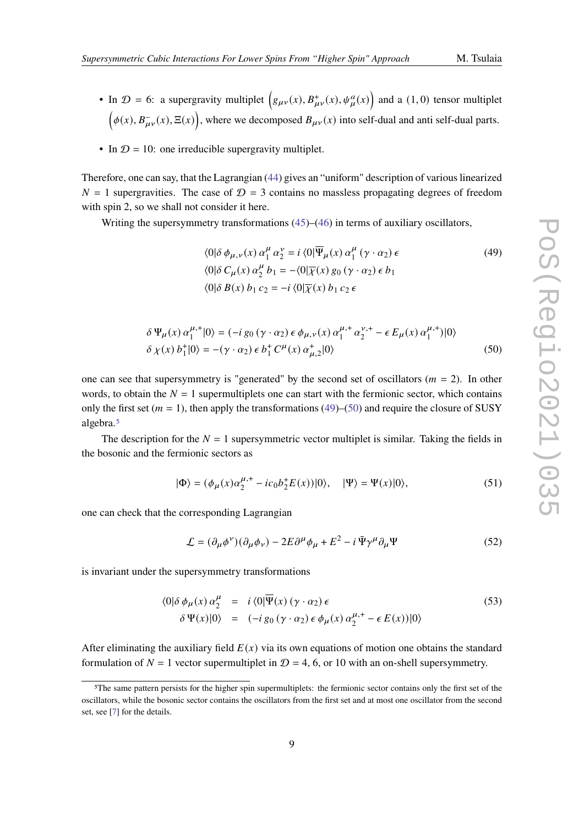- In  $\mathcal{D} = 6$ : a supergravity multiplet  $(g_{\mu\nu}(x), B^+_{\mu\nu}(x), \psi^a_{\mu}(x))$  and a (1,0) tensor multiplet  $(\phi(x), B_{\mu\nu}^-(x), \Xi(x))$ , where we decomposed  $B_{\mu\nu}(x)$  into self-dual and anti self-dual parts.
- In  $\mathcal{D} = 10$ : one irreducible supergravity multiplet.

Therefore, one can say, that the Lagrangian [\(44\)](#page-7-2) gives an "uniform" description of various linearized  $N = 1$  supergravities. The case of  $\mathcal{D} = 3$  contains no massless propagating degrees of freedom with spin 2, so we shall not consider it here.

Writing the supersymmetry transformations [\(45\)](#page-7-0)–[\(46\)](#page-7-1) in terms of auxiliary oscillators,

<span id="page-8-0"></span>
$$
\langle 0|\delta \phi_{\mu,\nu}(x) \alpha_1^{\mu} \alpha_2^{\nu} = i \langle 0|\overline{\Psi}_{\mu}(x) \alpha_1^{\mu} (\gamma \cdot \alpha_2) \epsilon
$$
  
\n
$$
\langle 0|\delta C_{\mu}(x) \alpha_2^{\mu} b_1 = -\langle 0|\overline{\chi}(x) g_0 (\gamma \cdot \alpha_2) \epsilon b_1
$$
  
\n
$$
\langle 0|\delta B(x) b_1 c_2 = -i \langle 0|\overline{\chi}(x) b_1 c_2 \epsilon
$$
 (49)

<span id="page-8-1"></span>
$$
\delta \Psi_{\mu}(x) \alpha_{1}^{\mu,+}|0\rangle = (-i g_{0} (\gamma \cdot \alpha_{2}) \epsilon \phi_{\mu,\nu}(x) \alpha_{1}^{\mu,+} \alpha_{2}^{\nu,+} - \epsilon E_{\mu}(x) \alpha_{1}^{\mu,+})|0\rangle
$$
  

$$
\delta \chi(x) b_{1}^{+}|0\rangle = -(\gamma \cdot \alpha_{2}) \epsilon b_{1}^{+} C^{\mu}(x) \alpha_{\mu,2}^{+}|0\rangle
$$
 (50)

one can see that supersymmetry is "generated" by the second set of oscillators ( $m = 2$ ). In other words, to obtain the  $N = 1$  supermultiplets one can start with the fermionic sector, which contains only the first set ( $m = 1$ ), then apply the transformations [\(49\)](#page-8-0)–[\(50\)](#page-8-1) and require the closure of SUSY algebra.[5](#page-8-2)

The description for the  $N = 1$  supersymmetric vector multiplet is similar. Taking the fields in the bosonic and the fermionic sectors as

$$
|\Phi\rangle = (\phi_{\mu}(x)\alpha_{2}^{\mu,+} - ic_{0}b_{2}^{+}E(x))|0\rangle, \quad |\Psi\rangle = \Psi(x)|0\rangle, \tag{51}
$$

one can check that the corresponding Lagrangian

$$
\mathcal{L} = (\partial_{\mu}\phi^{\nu})(\partial_{\mu}\phi_{\nu}) - 2E\partial^{\mu}\phi_{\mu} + E^{2} - i\bar{\Psi}\gamma^{\mu}\partial_{\mu}\Psi
$$
 (52)

is invariant under the supersymmetry transformations

<span id="page-8-3"></span>
$$
\langle 0|\delta \phi_{\mu}(x) \alpha_{2}^{\mu} = i \langle 0|\overline{\Psi}(x) (\gamma \cdot \alpha_{2}) \epsilon \delta \Psi(x)|0 \rangle = (-i g_{0} (\gamma \cdot \alpha_{2}) \epsilon \phi_{\mu}(x) \alpha_{2}^{\mu,+} - \epsilon E(x))|0 \rangle
$$
\n(53)

After eliminating the auxiliary field  $E(x)$  via its own equations of motion one obtains the standard formulation of  $N = 1$  vector supermultiplet in  $\mathcal{D} = 4$ , 6, or 10 with an on-shell supersymmetry.

<span id="page-8-2"></span><sup>5</sup>The same pattern persists for the higher spin supermultiplets: the fermionic sector contains only the first set of the oscillators, while the bosonic sector contains the oscillators from the first set and at most one oscillator from the second set, see [\[7\]](#page-22-6) for the details.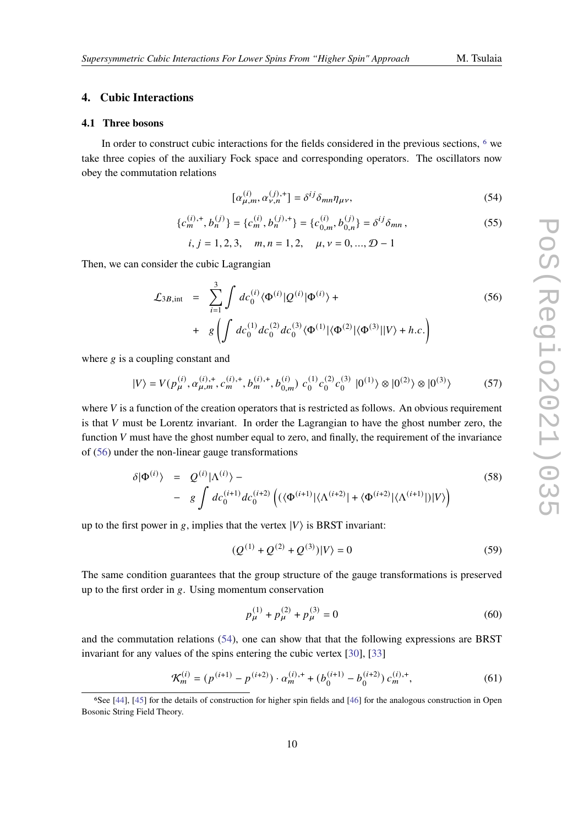#### <span id="page-9-0"></span>**4. Cubic Interactions**

#### **4.1 Three bosons**

In order to construct cubic interactions for the fields considered in the previous sections, [6](#page-9-1) we take three copies of the auxiliary Fock space and corresponding operators. The oscillators now obey the commutation relations

<span id="page-9-3"></span>
$$
[\alpha_{\mu,m}^{(i)}, \alpha_{\nu,n}^{(j),+}] = \delta^{ij} \delta_{mn} \eta_{\mu\nu},\tag{54}
$$

$$
\{c_m^{(i),+}, b_n^{(j)}\} = \{c_m^{(i)}, b_n^{(j),+}\} = \{c_{0,m}^{(i)}, b_{0,n}^{(j)}\} = \delta^{ij}\delta_{mn},\tag{55}
$$

 $i, j = 1, 2, 3,$   $m, n = 1, 2,$   $\mu, \nu = 0, ..., \mathcal{D} - 1$ 

Then, we can consider the cubic Lagrangian

<span id="page-9-2"></span>
$$
\mathcal{L}_{3B,\text{int}} = \sum_{i=1}^{3} \int dc_0^{(i)} \langle \Phi^{(i)} | Q^{(i)} | \Phi^{(i)} \rangle +
$$
  
+  $g \left( \int dc_0^{(1)} dc_0^{(2)} dc_0^{(3)} \langle \Phi^{(1)} | \langle \Phi^{(2)} | \langle \Phi^{(3)} | | V \rangle + h.c. \right)$  (56)

where  $g$  is a coupling constant and

$$
|V\rangle = V(p_{\mu}^{(i)}, \alpha_{\mu,m}^{(i),+}, c_m^{(i),+}, b_m^{(i),+}, b_{0,m}^{(i)}) c_0^{(1)} c_0^{(2)} c_0^{(3)} |0^{(1)}\rangle \otimes |0^{(2)}\rangle \otimes |0^{(3)}\rangle
$$
 (57)

where  $V$  is a function of the creation operators that is restricted as follows. An obvious requirement is that  $V$  must be Lorentz invariant. In order the Lagrangian to have the ghost number zero, the function  $V$  must have the ghost number equal to zero, and finally, the requirement of the invariance of [\(56\)](#page-9-2) under the non-linear gauge transformations

<span id="page-9-5"></span>
$$
\delta|\Phi^{(i)}\rangle = Q^{(i)}|\Lambda^{(i)}\rangle - \qquad \qquad (58)
$$
\n
$$
- g \int dc_0^{(i+1)}dc_0^{(i+2)} \left( (\langle \Phi^{(i+1)}|\langle \Lambda^{(i+2)}| + \langle \Phi^{(i+2)}|\langle \Lambda^{(i+1)}| \rangle |V \rangle \right)
$$

up to the first power in g, implies that the vertex  $|V\rangle$  is BRST invariant:

<span id="page-9-4"></span>
$$
(Q^{(1)} + Q^{(2)} + Q^{(3)})|V\rangle = 0
$$
\n(59)

The same condition guarantees that the group structure of the gauge transformations is preserved up to the first order in  $g$ . Using momentum conservation

<span id="page-9-7"></span>
$$
p_{\mu}^{(1)} + p_{\mu}^{(2)} + p_{\mu}^{(3)} = 0 \tag{60}
$$

and the commutation relations [\(54\)](#page-9-3), one can show that that the following expressions are BRST invariant for any values of the spins entering the cubic vertex [\[30\]](#page-24-4), [\[33\]](#page-24-5)

<span id="page-9-6"></span>
$$
\mathcal{K}_m^{(i)} = (p^{(i+1)} - p^{(i+2)}) \cdot \alpha_m^{(i),+} + (b_0^{(i+1)} - b_0^{(i+2)}) c_m^{(i),+}, \tag{61}
$$

<span id="page-9-1"></span><sup>6</sup>See [\[44\]](#page-25-6), [\[45\]](#page-25-7) for the details of construction for higher spin fields and [\[46\]](#page-25-8) for the analogous construction in Open Bosonic String Field Theory.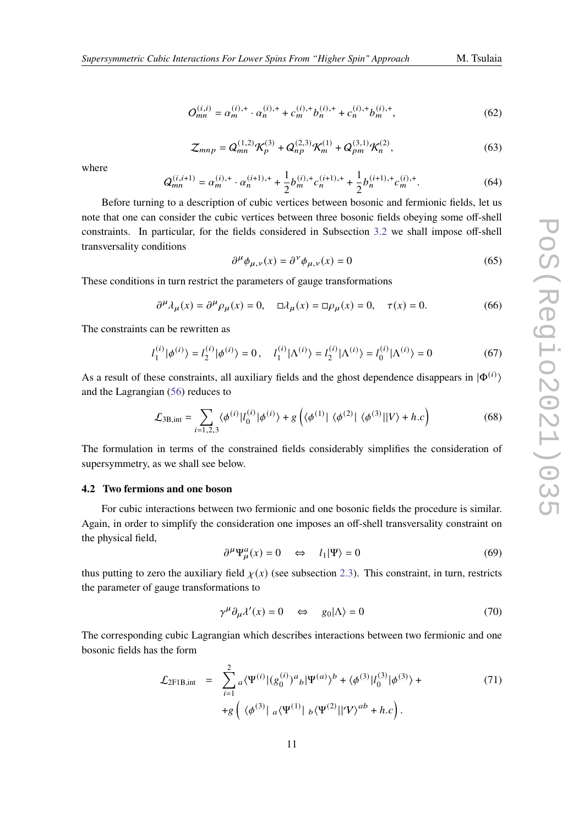$$
O_{mn}^{(i,i)} = \alpha_m^{(i),+} \cdot \alpha_n^{(i),+} + c_m^{(i),+} b_n^{(i),+} + c_n^{(i),+} b_m^{(i),+}, \tag{62}
$$

<span id="page-10-5"></span>
$$
\mathcal{Z}_{mnp} = Q_{mn}^{(1,2)} \mathcal{K}_p^{(3)} + Q_{np}^{(2,3)} \mathcal{K}_m^{(1)} + Q_{pm}^{(3,1)} \mathcal{K}_n^{(2)},
$$
(63)

where

$$
Q_{mn}^{(i,i+1)} = \alpha_m^{(i),+} \cdot \alpha_n^{(i+1),+} + \frac{1}{2} b_m^{(i),+} c_n^{(i+1),+} + \frac{1}{2} b_n^{(i+1),+} c_m^{(i),+}.
$$
 (64)

Before turning to a description of cubic vertices between bosonic and fermionic fields, let us note that one can consider the cubic vertices between three bosonic fields obeying some off-shell constraints. In particular, for the fields considered in Subsection [3.2](#page-6-3) we shall impose off-shell transversality conditions

<span id="page-10-6"></span>
$$
\partial^{\mu} \phi_{\mu,\nu}(x) = \partial^{\nu} \phi_{\mu,\nu}(x) = 0 \tag{65}
$$

These conditions in turn restrict the parameters of gauge transformations

 $\partial^{\mu} \lambda_{\mu}(x) = \partial^{\mu} \rho_{\mu}(x) = 0, \quad \Box \lambda_{\mu}(x) = \Box \rho_{\mu}(x) = 0, \quad \tau(x) = 0.$  (66)

The constraints can be rewritten as

<span id="page-10-1"></span>
$$
l_1^{(i)}|\phi^{(i)}\rangle = l_2^{(i)}|\phi^{(i)}\rangle = 0, \quad l_1^{(i)}|\Lambda^{(i)}\rangle = l_2^{(i)}|\Lambda^{(i)}\rangle = l_0^{(i)}|\Lambda^{(i)}\rangle = 0 \tag{67}
$$

As a result of these constraints, all auxiliary fields and the ghost dependence disappears in  $|\Phi^{(i)}\rangle$ and the Lagrangian [\(56\)](#page-9-2) reduces to

<span id="page-10-4"></span>
$$
\mathcal{L}_{3B,int} = \sum_{i=1,2,3} \langle \phi^{(i)} | l_0^{(i)} | \phi^{(i)} \rangle + g \left( \langle \phi^{(1)} | \langle \phi^{(2)} | \langle \phi^{(3)} | | V \rangle + h.c \right) \tag{68}
$$

The formulation in terms of the constrained fields considerably simplifies the consideration of supersymmetry, as we shall see below.

#### <span id="page-10-7"></span>**4.2 Two fermions and one boson**

For cubic interactions between two fermionic and one bosonic fields the procedure is similar. Again, in order to simplify the consideration one imposes an off-shell transversality constraint on the physical field,

<span id="page-10-2"></span>
$$
\partial^{\mu} \Psi_{\mu}^{a}(x) = 0 \quad \Leftrightarrow \quad l_{1} |\Psi\rangle = 0 \tag{69}
$$

thus putting to zero the auxiliary field  $\chi(x)$  (see subsection [2.3\)](#page-3-9). This constraint, in turn, restricts the parameter of gauge transformations to

<span id="page-10-3"></span>
$$
\gamma^{\mu} \partial_{\mu} \lambda'(x) = 0 \quad \Leftrightarrow \quad g_0|\Lambda\rangle = 0 \tag{70}
$$

The corresponding cubic Lagrangian which describes interactions between two fermionic and one bosonic fields has the form

<span id="page-10-0"></span>
$$
\mathcal{L}_{2F1B,int} = \sum_{i=1}^{2} a \langle \Psi^{(i)} | (g_0^{(i)})^a{}_b | \Psi^{(a)} \rangle^b + \langle \phi^{(3)} | l_0^{(3)} | \phi^{(3)} \rangle +
$$
  
+
$$
g \left( \langle \phi^{(3)} | a \langle \Psi^{(1)} | b \langle \Psi^{(2)} | | \Psi \rangle^{ab} + h.c \right).
$$
 (71)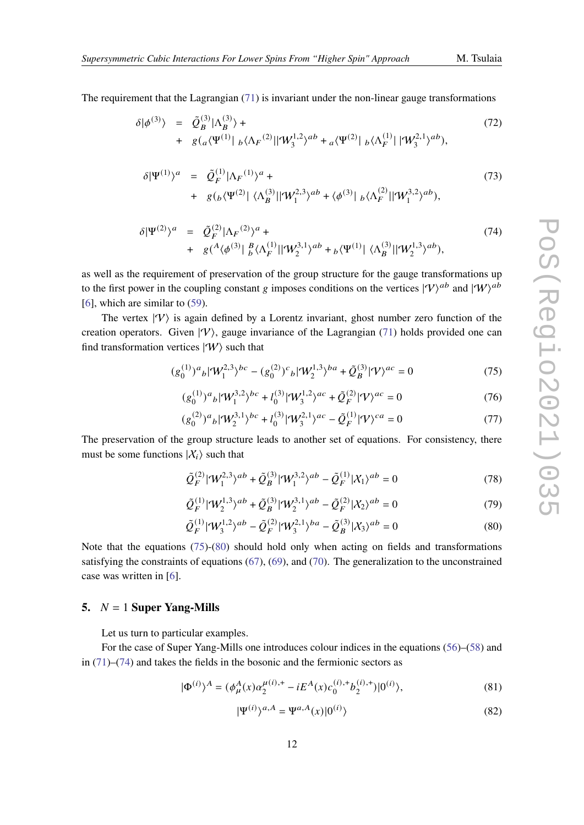The requirement that the Lagrangian [\(71\)](#page-10-0) is invariant under the non-linear gauge transformations

$$
\delta|\phi^{(3)}\rangle = \tilde{Q}_{B}^{(3)}|\Lambda_{B}^{(3)}\rangle + + g(_{a}\langle\Psi^{(1)}|_{b}\langle\Lambda_{F}^{(2)}||\Psi_{3}^{1,2}\rangle^{ab} + {}_{a}\langle\Psi^{(2)}|_{b}\langle\Lambda_{F}^{(1)}||\Psi_{3}^{2,1}\rangle^{ab}),
$$
\n(72)

$$
\delta |\Psi^{(1)}\rangle^{a} = \tilde{Q}_{F}^{(1)} |\Lambda_{F}^{(1)}\rangle^{a} + + g\left(b\langle \Psi^{(2)}| \langle \Lambda_{B}^{(3)}| | \Psi_{1}^{2,3} \rangle^{ab} + \langle \phi^{(3)}| \langle \Lambda_{F}^{(2)}| | \Psi_{1}^{3,2} \rangle^{ab}\right),
$$
\n(73)

<span id="page-11-3"></span>
$$
\delta |\Psi^{(2)}\rangle^{a} = \tilde{Q}_{F}^{(2)} |\Lambda_{F}^{(2)}\rangle^{a} + + g(^{A}\langle \phi^{(3)}| \, \frac{B}{b} \langle \Lambda_{F}^{(1)}| |\Psi_{2}^{3,1}\rangle^{ab} + {}_{b}\langle \Psi^{(1)}| \, \langle \Lambda_{B}^{(3)}| |\Psi_{2}^{1,3}\rangle^{ab}),
$$
\n(74)

as well as the requirement of preservation of the group structure for the gauge transformations up to the first power in the coupling constant g imposes conditions on the vertices  $|\mathcal{V}\rangle^{ab}$  and  $|\mathcal{W}\rangle^{ab}$ [\[6\]](#page-22-5), which are similar to [\(59\)](#page-9-4).

The vertex  $|\Psi\rangle$  is again defined by a Lorentz invariant, ghost number zero function of the creation operators. Given  $|V\rangle$ , gauge invariance of the Lagrangian [\(71\)](#page-10-0) holds provided one can find transformation vertices  $|W\rangle$  such that

<span id="page-11-1"></span>
$$
(g_0^{(1)})^a{}_b |\mathcal{W}_1^{2,3}\rangle^{bc} - (g_0^{(2)})^c{}_b |\mathcal{W}_2^{1,3}\rangle^{ba} + \tilde{\mathcal{Q}}_B^{(3)} |\mathcal{V}\rangle^{ac} = 0 \tag{75}
$$

$$
(g_0^{(1)})^a{}_b |\mathcal{W}_1^{3,2}\rangle^{bc} + l_0^{(3)} |\mathcal{W}_3^{1,2}\rangle^{ac} + \tilde{\mathcal{Q}}_F^{(2)} |\mathcal{V}\rangle^{ac} = 0
$$
 (76)

<span id="page-11-4"></span>
$$
(g_0^{(2)})^a{}_b |\mathcal{W}_2^{3,1}\rangle^{bc} + l_0^{(3)} |\mathcal{W}_3^{2,1}\rangle^{ac} - \tilde{\mathcal{Q}}_F^{(1)} |\mathcal{V}\rangle^{ca} = 0 \tag{77}
$$

The preservation of the group structure leads to another set of equations. For consistency, there must be some functions  $|X_i\rangle$  such that

<span id="page-11-5"></span>
$$
\tilde{Q}_F^{(2)}|\mathcal{W}_1^{2,3}\rangle^{ab} + \tilde{Q}_B^{(3)}|\mathcal{W}_1^{3,2}\rangle^{ab} - \tilde{Q}_F^{(1)}|\mathcal{X}_1\rangle^{ab} = 0
$$
\n(78)

$$
\tilde{Q}_F^{(1)}|\mathcal{W}_2^{1,3}\rangle^{ab} + \tilde{Q}_B^{(3)}|\mathcal{W}_2^{3,1}\rangle^{ab} - \tilde{Q}_F^{(2)}|\mathcal{X}_2\rangle^{ab} = 0
$$
\n(79)

<span id="page-11-2"></span>
$$
\tilde{Q}_F^{(1)}|\mathcal{W}_3^{1,2}\rangle^{ab} - \tilde{Q}_F^{(2)}|\mathcal{W}_3^{2,1}\rangle^{ba} - \tilde{Q}_B^{(3)}|\mathcal{X}_3\rangle^{ab} = 0
$$
\n(80)

Note that the equations [\(75\)](#page-11-1)-[\(80\)](#page-11-2) should hold only when acting on fields and transformations satisfying the constraints of equations [\(67\)](#page-10-1), [\(69\)](#page-10-2), and [\(70\)](#page-10-3). The generalization to the unconstrained case was written in [\[6\]](#page-22-5).

#### <span id="page-11-0"></span>**5.**  $N = 1$  **Super Yang-Mills**

Let us turn to particular examples.

For the case of Super Yang-Mills one introduces colour indices in the equations [\(56\)](#page-9-2)–[\(58\)](#page-9-5) and in [\(71\)](#page-10-0)–[\(74\)](#page-11-3) and takes the fields in the bosonic and the fermionic sectors as

$$
|\Phi^{(i)}\rangle^A = (\phi^A_\mu(x)\alpha_2^{\mu(i),+} - iE^A(x)c_0^{(i),+}b_2^{(i),+})|0^{(i)}\rangle,\tag{81}
$$

$$
|\Psi^{(i)}\rangle^{a,A} = \Psi^{a,A}(x)|0^{(i)}\rangle
$$
\n(82)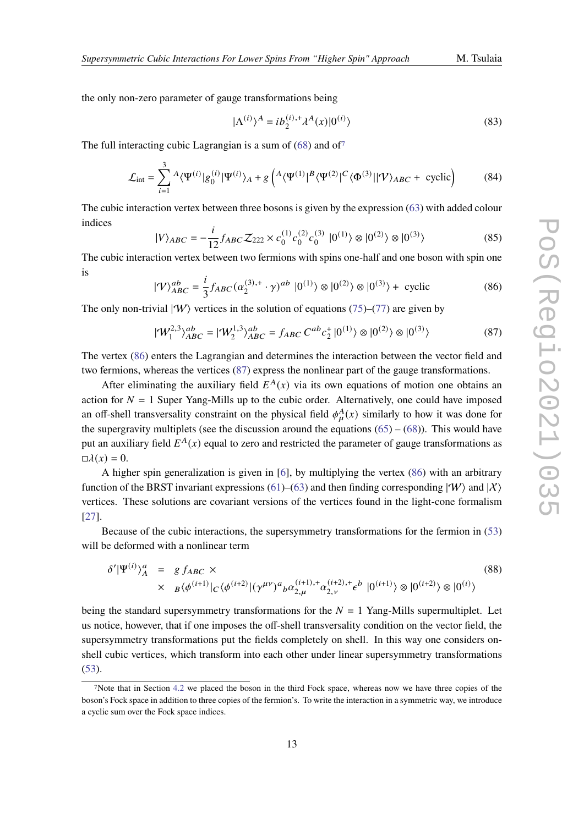the only non-zero parameter of gauge transformations being

$$
|\Lambda^{(i)}\rangle^A = ib_2^{(i),+} \lambda^A(x) |0^{(i)}\rangle \tag{83}
$$

The full interacting cubic Lagrangian is a sum of  $(68)$  and of<sup>[7](#page-12-0)</sup>

$$
\mathcal{L}_{int} = \sum_{i=1}^{3} {^{A}\langle\Psi^{(i)}|g_{0}^{(i)}|\Psi^{(i)}\rangle_{A} + g\left({^{A}\langle\Psi^{(1)}|^{B}\langle\Psi^{(2)}|^{C}\langle\Phi^{(3)}||\mathcal{V}\rangle_{ABC} + \text{ cyclic}}\right)}
$$
(84)

The cubic interaction vertex between three bosons is given by the expression [\(63\)](#page-10-5) with added colour indices

$$
|V\rangle_{ABC} = -\frac{i}{12} f_{ABC} \mathcal{Z}_{222} \times c_0^{(1)} c_0^{(2)} c_0^{(3)} |0^{(1)}\rangle \otimes |0^{(2)}\rangle \otimes |0^{(3)}\rangle
$$
 (85)

The cubic interaction vertex between two fermions with spins one-half and one boson with spin one is

<span id="page-12-1"></span>
$$
|\mathcal{V}\rangle_{ABC}^{ab} = \frac{i}{3} f_{ABC} (\alpha_2^{(3),+} \cdot \gamma)^{ab} |0^{(1)}\rangle \otimes |0^{(2)}\rangle \otimes |0^{(3)}\rangle + \text{ cyclic}
$$
 (86)

The only non-trivial  $|\Psi\rangle$  vertices in the solution of equations [\(75\)](#page-11-1)–[\(77\)](#page-11-4) are given by

<span id="page-12-2"></span>
$$
|\mathcal{W}_1^{2,3}\rangle_{ABC}^{ab} = |\mathcal{W}_2^{1,3}\rangle_{ABC}^{ab} = f_{ABC} C^{ab} c_2^+ |0^{(1)}\rangle \otimes |0^{(2)}\rangle \otimes |0^{(3)}\rangle
$$
 (87)

The vertex [\(86\)](#page-12-1) enters the Lagrangian and determines the interaction between the vector field and two fermions, whereas the vertices [\(87\)](#page-12-2) express the nonlinear part of the gauge transformations.

After eliminating the auxiliary field  $E^{A}(x)$  via its own equations of motion one obtains an action for  $N = 1$  Super Yang-Mills up to the cubic order. Alternatively, one could have imposed an off-shell transversality constraint on the physical field  $\phi_u^A(x)$  similarly to how it was done for the supergravity multiplets (see the discussion around the equations  $(65) - (68)$  $(65) - (68)$  $(65) - (68)$ ). This would have put an auxiliary field  $E^{A}(x)$  equal to zero and restricted the parameter of gauge transformations as  $\Box \lambda(x) = 0.$ 

A higher spin generalization is given in [\[6\]](#page-22-5), by multiplying the vertex [\(86\)](#page-12-1) with an arbitrary function of the BRST invariant expressions [\(61\)](#page-9-6)–[\(63\)](#page-10-5) and then finding corresponding  $|\Psi\rangle$  and  $|\chi\rangle$ vertices. These solutions are covariant versions of the vertices found in the light-cone formalism [\[27\]](#page-24-6).

Because of the cubic interactions, the supersymmetry transformations for the fermion in [\(53\)](#page-8-3) will be deformed with a nonlinear term

$$
\delta'|\Psi^{(i)}\rangle_{A}^{a} = g f_{ABC} \times \times B\langle\phi^{(i+1)}|_{C} \langle\phi^{(i+2)}|(\gamma^{\mu\nu})^{a}{}_{b}\alpha^{(i+1),+}_{2,\mu}\alpha^{(i+2),+}_{2,\nu} \epsilon^{b} |0^{(i+1)}\rangle \otimes |0^{(i+2)}\rangle \otimes |0^{(i)}\rangle
$$
\n(88)

being the standard supersymmetry transformations for the  $N = 1$  Yang-Mills supermultiplet. Let us notice, however, that if one imposes the off-shell transversality condition on the vector field, the supersymmetry transformations put the fields completely on shell. In this way one considers onshell cubic vertices, which transform into each other under linear supersymmetry transformations [\(53\)](#page-8-3).

<span id="page-12-0"></span><sup>7</sup>Note that in Section [4.2](#page-10-7) we placed the boson in the third Fock space, whereas now we have three copies of the boson's Fock space in addition to three copies of the fermion's. To write the interaction in a symmetric way, we introduce a cyclic sum over the Fock space indices.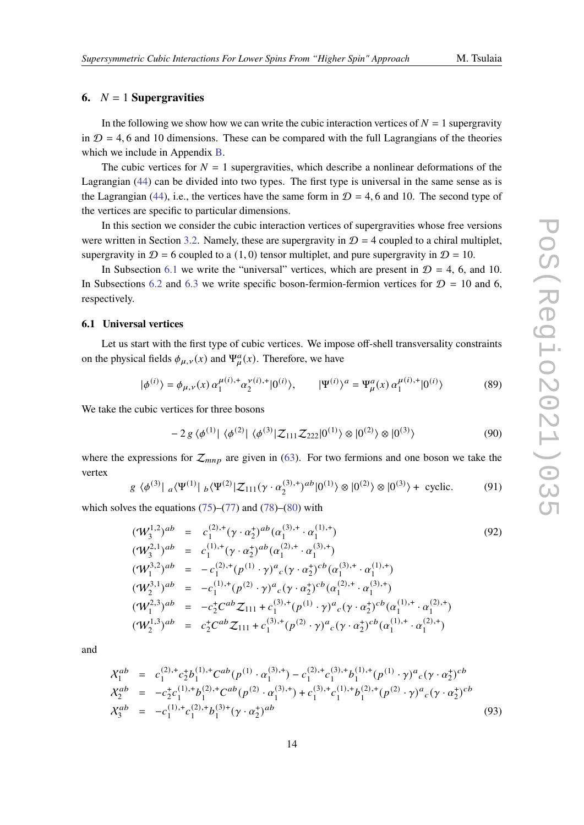## <span id="page-13-0"></span>**6.**  $N = 1$  **Supergravities**

In the following we show how we can write the cubic interaction vertices of  $N = 1$  supergravity in  $D = 4$ , 6 and 10 dimensions. These can be compared with the full Lagrangians of the theories which we include in Appendix [B.](#page-20-0)

The cubic vertices for  $N = 1$  supergravities, which describe a nonlinear deformations of the Lagrangian [\(44\)](#page-7-2) can be divided into two types. The first type is universal in the same sense as is the Lagrangian [\(44\)](#page-7-2), i.e., the vertices have the same form in  $\mathcal{D} = 4, 6$  and 10. The second type of the vertices are specific to particular dimensions.

In this section we consider the cubic interaction vertices of supergravities whose free versions were written in Section [3.2.](#page-6-3) Namely, these are supergravity in  $D = 4$  coupled to a chiral multiplet, supergravity in  $\mathcal{D} = 6$  coupled to a (1,0) tensor multiplet, and pure supergravity in  $\mathcal{D} = 10$ .

In Subsection [6.1](#page-13-1) we write the "universal" vertices, which are present in  $D = 4$ , 6, and 10. In Subsections [6.2](#page-14-0) and [6.3](#page-15-0) we write specific boson-fermion-fermion vertices for  $\mathcal{D} = 10$  and 6, respectively.

#### <span id="page-13-1"></span>**6.1 Universal vertices**

Let us start with the first type of cubic vertices. We impose off-shell transversality constraints on the physical fields  $\phi_{\mu,\nu}(x)$  and  $\Psi^a_{\mu}(x)$ . Therefore, we have

$$
|\phi^{(i)}\rangle = \phi_{\mu,\nu}(x) \, \alpha_1^{\mu(i),+} \alpha_2^{\nu(i),+} |0^{(i)}\rangle, \qquad |\Psi^{(i)}\rangle^a = \Psi_\mu^a(x) \, \alpha_1^{\mu(i),+} |0^{(i)}\rangle \tag{89}
$$

We take the cubic vertices for three bosons

<span id="page-13-2"></span>
$$
-2 g \langle \phi^{(1)} | \langle \phi^{(2)} | \langle \phi^{(3)} | Z_{111} Z_{222} | 0^{(1)} \rangle \otimes | 0^{(2)} \rangle \otimes | 0^{(3)} \rangle \tag{90}
$$

where the expressions for  $\mathcal{Z}_{mnp}$  are given in [\(63\)](#page-10-5). For two fermions and one boson we take the vertex

<span id="page-13-3"></span>
$$
g \langle \phi^{(3)} | a \langle \Psi^{(1)} | b \langle \Psi^{(2)} | \mathcal{Z}_{111}(\gamma \cdot \alpha_2^{(3),+})^{ab} | 0^{(1)} \rangle \otimes | 0^{(2)} \rangle \otimes | 0^{(3)} \rangle + \text{ cyclic.}
$$
 (91)

which solves the equations  $(75)$ – $(77)$  and  $(78)$ – $(80)$  with

$$
\begin{array}{rcl}\n(\mathcal{W}_{3}^{1,2})^{ab} & = & c_{1}^{(2),+}(\gamma \cdot \alpha_{2}^{+})^{ab}(\alpha_{1}^{(3),+} \cdot \alpha_{1}^{(1),+}) \\
(\mathcal{W}_{3}^{2,1})^{ab} & = & c_{1}^{(1),+}(\gamma \cdot \alpha_{2}^{+})^{ab}(\alpha_{1}^{(2),+} \cdot \alpha_{1}^{(3),+}) \\
(\mathcal{W}_{1}^{3,2})^{ab} & = & -c_{1}^{(2),+}(\rho^{(1)} \cdot \gamma)^{a}c(\gamma \cdot \alpha_{2}^{+})^{cb}(\alpha_{1}^{(3),+} \cdot \alpha_{1}^{(1),+}) \\
(\mathcal{W}_{2}^{3,1})^{ab} & = & -c_{1}^{(1),+}(\rho^{(2)} \cdot \gamma)^{a}c(\gamma \cdot \alpha_{2}^{+})^{cb}(\alpha_{1}^{(2),+} \cdot \alpha_{1}^{(3),+}) \\
(\mathcal{W}_{1}^{2,3})^{ab} & = & -c_{2}^{+}C^{ab} \mathcal{Z}_{111} + c_{1}^{(3),+}(\rho^{(1)} \cdot \gamma)^{a}c(\gamma \cdot \alpha_{2}^{+})^{cb}(\alpha_{1}^{(1),+} \cdot \alpha_{1}^{(2),+}) \\
(\mathcal{W}_{2}^{1,3})^{ab} & = & c_{2}^{+}C^{ab} \mathcal{Z}_{111} + c_{1}^{(3),+}(\rho^{(2)} \cdot \gamma)^{a}c(\gamma \cdot \alpha_{2}^{+})^{cb}(\alpha_{1}^{(1),+} \cdot \alpha_{1}^{(2),+})\n\end{array} \tag{92}
$$

and

$$
\mathcal{X}_1^{ab} = c_1^{(2),+} c_2^{+} b_1^{(1),+} C^{ab} (p^{(1)} \cdot \alpha_1^{(3),+}) - c_1^{(2),+} c_1^{(3),+} b_1^{(1),+} (p^{(1)} \cdot \gamma)^a{}_c (\gamma \cdot \alpha_2^+)^{cb} \n\mathcal{X}_2^{ab} = -c_2^+ c_1^{(1),+} b_1^{(2),+} C^{ab} (p^{(2)} \cdot \alpha_1^{(3),+}) + c_1^{(3),+} c_1^{(1),+} b_1^{(2),+} (p^{(2)} \cdot \gamma)^a{}_c (\gamma \cdot \alpha_2^+)^{cb} \n\mathcal{X}_3^{ab} = -c_1^{(1),+} c_1^{(2),+} b_1^{(3),+} (\gamma \cdot \alpha_2^+)^{ab}
$$
\n(93)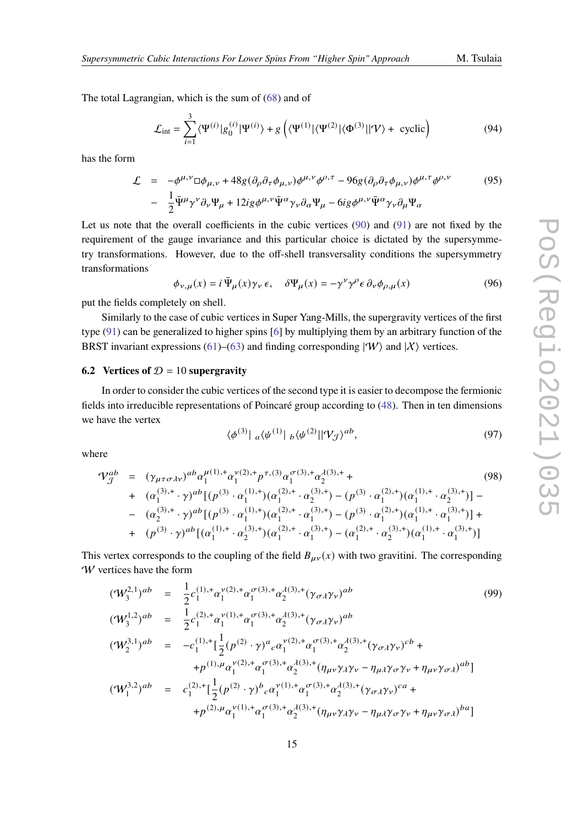The total Lagrangian, which is the sum of [\(68\)](#page-10-4) and of

$$
\mathcal{L}_{\text{int}} = \sum_{i=1}^{3} \langle \Psi^{(i)} | g_0^{(i)} | \Psi^{(i)} \rangle + g \left( \langle \Psi^{(1)} | \langle \Psi^{(2)} | \langle \Phi^{(3)} | | \mathcal{V} \rangle + \text{ cyclic} \right) \right) \tag{94}
$$

has the form

$$
\mathcal{L} = -\phi^{\mu,\nu} \Box \phi_{\mu,\nu} + 48g (\partial_{\rho} \partial_{\tau} \phi_{\mu,\nu}) \phi^{\mu,\nu} \phi^{\rho,\tau} - 96g (\partial_{\rho} \partial_{\tau} \phi_{\mu,\nu}) \phi^{\mu,\tau} \phi^{\rho,\nu}
$$
(95)  

$$
- \frac{1}{2} \bar{\Psi}^{\mu} \gamma^{\nu} \partial_{\nu} \Psi_{\mu} + 12ig \phi^{\mu,\nu} \bar{\Psi}^{\alpha} \gamma_{\nu} \partial_{\alpha} \Psi_{\mu} - 6ig \phi^{\mu,\nu} \bar{\Psi}^{\alpha} \gamma_{\nu} \partial_{\mu} \Psi_{\alpha}
$$

Let us note that the overall coefficients in the cubic vertices [\(90\)](#page-13-2) and [\(91\)](#page-13-3) are not fixed by the requirement of the gauge invariance and this particular choice is dictated by the supersymmetry transformations. However, due to the off-shell transversality conditions the supersymmetry transformations

$$
\phi_{\nu,\mu}(x) = i \,\overline{\Psi}_{\mu}(x)\gamma_{\nu}\,\epsilon, \quad \delta\Psi_{\mu}(x) = -\gamma^{\nu}\gamma^{\rho}\epsilon \,\partial_{\nu}\phi_{\rho,\mu}(x) \tag{96}
$$

put the fields completely on shell.

Similarly to the case of cubic vertices in Super Yang-Mills, the supergravity vertices of the first type [\(91\)](#page-13-3) can be generalized to higher spins [\[6\]](#page-22-5) by multiplying them by an arbitrary function of the BRST invariant expressions [\(61\)](#page-9-6)–[\(63\)](#page-10-5) and finding corresponding  $|W\rangle$  and  $|X\rangle$  vertices.

#### <span id="page-14-0"></span>**6.2 Vertices of**  $D = 10$  **supergravity**

In order to consider the cubic vertices of the second type it is easier to decompose the fermionic fields into irreducible representations of Poincaré group according to [\(48\)](#page-7-3). Then in ten dimensions we have the vertex

$$
\langle \phi^{(3)} | \, a \langle \psi^{(1)} | \, b \langle \psi^{(2)} | | \mathcal{V}_{\mathcal{J}} \rangle^{ab}, \tag{97}
$$

where

$$
\mathcal{V}_{\mathcal{J}}^{ab} = (\gamma_{\mu\tau\sigma\lambda\nu})^{ab} \alpha_{1}^{\mu(1),+} \alpha_{1}^{\nu(2),+} p^{\tau,(3)} \alpha_{1}^{\sigma(3),+} \alpha_{2}^{\lambda(3),+} +
$$
\n
$$
+ (\alpha_{1}^{(3),+} \cdot \gamma)^{ab} [ (p^{(3)} \cdot \alpha_{1}^{(1),+}) (\alpha_{1}^{(2),+} \cdot \alpha_{2}^{(3),+}) - (p^{(3)} \cdot \alpha_{1}^{(2),+}) (\alpha_{1}^{(1),+} \cdot \alpha_{2}^{(3),+}) ] -
$$
\n
$$
- (\alpha_{2}^{(3),+} \cdot \gamma)^{ab} [ (p^{(3)} \cdot \alpha_{1}^{(1),+}) (\alpha_{1}^{(2),+} \cdot \alpha_{1}^{(3),+}) - (p^{(3)} \cdot \alpha_{1}^{(2),+}) (\alpha_{1}^{(1),+} \cdot \alpha_{1}^{(3),+}) ] +
$$
\n
$$
+ (p^{(3)} \cdot \gamma)^{ab} [ (\alpha_{1}^{(1),+} \cdot \alpha_{2}^{(3),+}) (\alpha_{1}^{(2),+} \cdot \alpha_{1}^{(3),+}) - (\alpha_{1}^{(2),+} \cdot \alpha_{2}^{(3),+}) (\alpha_{1}^{(1),+} \cdot \alpha_{1}^{(3),+}) ]
$$
\n(98)

This vertex corresponds to the coupling of the field  $B_{\mu\nu}(x)$  with two gravitini. The corresponding W vertices have the form

$$
\begin{array}{rcl}\n(\mathcal{W}_{3}^{2,1})^{ab} & = & \frac{1}{2}c_{1}^{(1),+}\alpha_{1}^{\nu(2),+}\alpha_{1}^{\sigma(3),+}\alpha_{2}^{\lambda(3),+}(\gamma_{\sigma\lambda}\gamma_{\nu})^{ab} \\
(\mathcal{W}_{3}^{1,2})^{ab} & = & \frac{1}{2}c_{1}^{(2),+}\alpha_{1}^{\nu(1),+}\alpha_{1}^{\sigma(3),+}\alpha_{2}^{\lambda(3),+}(\gamma_{\sigma\lambda}\gamma_{\nu})^{ab} \\
(\mathcal{W}_{2}^{3,1})^{ab} & = & -c_{1}^{(1),+}[\frac{1}{2}(p^{(2)}\cdot\gamma)^{a}{}_{c}\alpha_{1}^{\nu(2),+}\alpha_{1}^{\sigma(3),+}\alpha_{2}^{\lambda(3),+}(\gamma_{\sigma\lambda}\gamma_{\nu})^{cb} + \\
& & +p^{(1),\mu}\alpha_{1}^{\nu(2),+}\alpha_{1}^{\sigma(3),+}\alpha_{2}^{\lambda(3),+}(\eta_{\mu\nu}\gamma_{\lambda}\gamma_{\nu}-\eta_{\mu\lambda}\gamma_{\sigma}\gamma_{\nu}+\eta_{\mu\nu}\gamma_{\sigma\lambda})^{ab}]\n(\mathcal{W}_{1}^{3,2})^{ab} & = & c_{1}^{(2),+}[\frac{1}{2}(p^{(2)}\cdot\gamma)^{b}{}_{c}\alpha_{1}^{\nu(1),+}\alpha_{1}^{\sigma(3),+}\alpha_{2}^{\lambda(3),+}(\gamma_{\sigma\lambda}\gamma_{\nu})^{ca} + \\
& & +p^{(2),\mu}\alpha_{1}^{\nu(1),+}\alpha_{1}^{\sigma(3),+}\alpha_{2}^{\lambda(3),+}(\eta_{\mu\nu}\gamma_{\lambda}\gamma_{\nu}-\eta_{\mu\lambda}\gamma_{\sigma}\gamma_{\nu}+\eta_{\mu\nu}\gamma_{\sigma\lambda})^{ba}]\n\end{array}
$$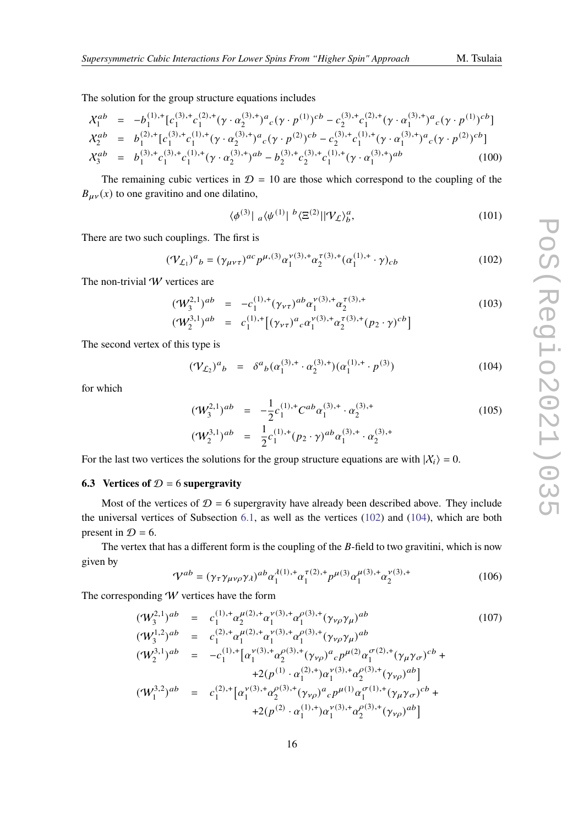The solution for the group structure equations includes

$$
\mathcal{X}_1^{ab} = -b_1^{(1),+} [c_1^{(3),+} c_1^{(2),+} (\gamma \cdot \alpha_2^{(3),+})^a{}_c (\gamma \cdot p^{(1)})^{cb} - c_2^{(3),+} c_1^{(2),+} (\gamma \cdot \alpha_1^{(3),+})^a{}_c (\gamma \cdot p^{(1)})^{cb}]
$$
\n
$$
\mathcal{X}_2^{ab} = b_1^{(2),+} [c_1^{(3),+} c_1^{(1),+} (\gamma \cdot \alpha_2^{(3),+})^a{}_c (\gamma \cdot p^{(2)})^{cb} - c_2^{(3),+} c_1^{(1),+} (\gamma \cdot \alpha_1^{(3),+})^a{}_c (\gamma \cdot p^{(2)})^{cb}]
$$
\n
$$
\mathcal{X}_3^{ab} = b_1^{(3),+} c_1^{(3),+} c_1^{(1),+} (\gamma \cdot \alpha_2^{(3),+})^{ab} - b_2^{(3),+} c_2^{(3),+} c_1^{(1),+} (\gamma \cdot \alpha_1^{(3),+})^{ab}
$$
\n
$$
(100)
$$

The remaining cubic vertices in  $\mathcal{D} = 10$  are those which correspond to the coupling of the  $B_{\mu\nu}(x)$  to one gravitino and one dilatino,

$$
\langle \phi^{(3)} | \; a \langle \psi^{(1)} | \; {^b \langle \Xi^{(2)} | | \Psi_L \rangle_b^a}, \tag{101}
$$

There are two such couplings. The first is

<span id="page-15-1"></span>
$$
(\mathcal{V}_{\mathcal{L}_1})^a{}_b = (\gamma_{\mu\nu\tau})^{ac} p^{\mu,(3)} \alpha_1^{\nu(3),+} \alpha_2^{\tau(3),+} (\alpha_1^{(1),+} \cdot \gamma)_{cb} \tag{102}
$$

The non-trivial  $W$  vertices are

$$
(\mathcal{W}_3^{2,1})^{ab} = -c_1^{(1),+}(\gamma_{\nu\tau})^{ab} \alpha_1^{\nu(3),+} \alpha_2^{\tau(3),+}
$$
 (103)

$$
(\mathcal{W}_2^{3,1})^{ab} = c_1^{(1),+} [(\gamma_{\nu\tau})^a{}_c \alpha_1^{\nu(3),+} \alpha_2^{\tau(3),+} (p_2 \cdot \gamma)^{cb}]
$$

The second vertex of this type is

<span id="page-15-2"></span>
$$
(\mathcal{V}_{L_2})^a{}_b = \delta^a{}_b (\alpha_1^{(3),+} \cdot \alpha_2^{(3),+}) (\alpha_1^{(1),+} \cdot p^{(3)}) \tag{104}
$$

for which

$$
(\mathcal{W}_3^{2,1})^{ab} = -\frac{1}{2}c_1^{(1),+}C^{ab}\alpha_1^{(3),+} \cdot \alpha_2^{(3),+}
$$
  

$$
(\mathcal{W}_2^{3,1})^{ab} = \frac{1}{2}c_1^{(1),+}(p_2 \cdot \gamma)^{ab}\alpha_1^{(3),+} \cdot \alpha_2^{(3),+}
$$
 (105)

For the last two vertices the solutions for the group structure equations are with  $|X_i\rangle = 0$ .

#### <span id="page-15-0"></span>**6.3** Vertices of  $D = 6$  supergravity

Most of the vertices of  $D = 6$  supergravity have already been described above. They include the universal vertices of Subsection [6.1,](#page-13-1) as well as the vertices [\(102\)](#page-15-1) and [\(104\)](#page-15-2), which are both present in  $\mathcal{D} = 6$ .

The vertex that has a different form is the coupling of the  $B$ -field to two gravitini, which is now given by

$$
\mathcal{V}^{ab} = (\gamma_\tau \gamma_{\mu\nu\rho} \gamma_\lambda)^{ab} \alpha_1^{\lambda(1),+} \alpha_1^{\tau(2),+} p^{\mu(3)} \alpha_1^{\mu(3),+} \alpha_2^{\nu(3),+}
$$
(106)

The corresponding  $W$  vertices have the form

$$
\begin{array}{rcl}\n(\mathcal{W}_{3}^{2,1})^{ab} & = & c_{1}^{(1),+}\alpha_{2}^{\mu(2),+}\alpha_{1}^{\nu(3),+}\alpha_{1}^{\rho(3),+}(\gamma_{\nu\rho}\gamma_{\mu})^{ab} \\
(\mathcal{W}_{3}^{1,2})^{ab} & = & c_{1}^{(2),+}\alpha_{1}^{\mu(2),+}\alpha_{1}^{\nu(3),+}\alpha_{1}^{\rho(3),+}(\gamma_{\nu\rho}\gamma_{\mu})^{ab} \\
(\mathcal{W}_{2}^{3,1})^{ab} & = & -c_{1}^{(1),+}\left[\alpha_{1}^{\nu(3),+}\alpha_{2}^{\rho(3),+}(\gamma_{\nu\rho})^{a}{}_{c}p^{\mu(2)}\alpha_{1}^{\sigma(2),+}(\gamma_{\mu}\gamma_{\sigma})^{cb} + & & \right. \\
& & \left. +2(p^{(1)}\cdot\alpha_{1}^{(2),+})\alpha_{1}^{\nu(3),+}\alpha_{2}^{\rho(3),+}(\gamma_{\nu\rho})^{ab}\right] \\
(\mathcal{W}_{1}^{3,2})^{ab} & = & c_{1}^{(2),+}\left[\alpha_{1}^{\nu(3),+}\alpha_{2}^{\rho(3),+}(\gamma_{\nu\rho})^{a}{}_{c}p^{\mu(1)}\alpha_{1}^{\sigma(1),+}(\gamma_{\mu}\gamma_{\sigma})^{cb} + & & \right. \\
& \left. +2(p^{(2)}\cdot\alpha_{1}^{(1),+})\alpha_{1}^{\nu(3),+}\alpha_{2}^{\rho(3),+}(\gamma_{\nu\rho})^{ab}\right]\n\end{array} \tag{107}
$$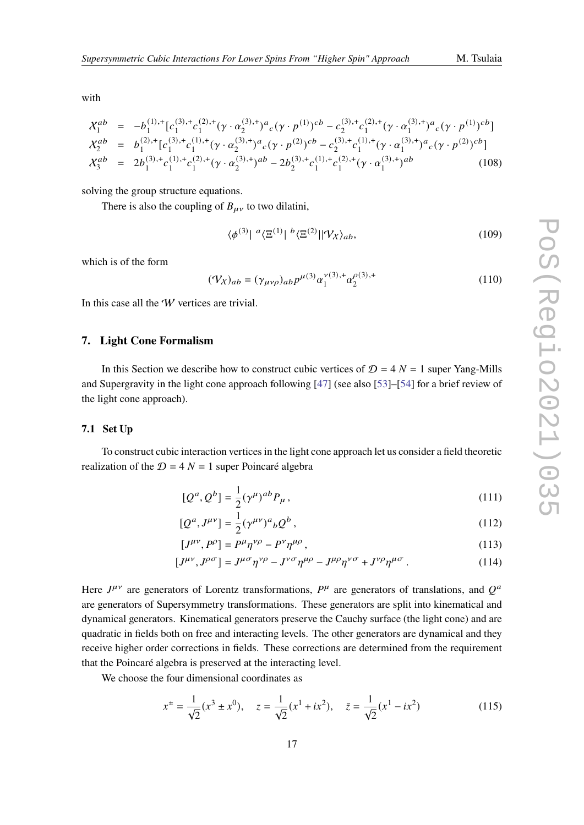with

$$
\mathcal{X}_{1}^{ab} = -b_{1}^{(1),+} [c_{1}^{(3),+} c_{1}^{(2),+} (\gamma \cdot \alpha_{2}^{(3),+}) a_{c} (\gamma \cdot p^{(1)})^{cb} - c_{2}^{(3),+} c_{1}^{(2),+} (\gamma \cdot \alpha_{1}^{(3),+}) a_{c} (\gamma \cdot p^{(1)})^{cb}]
$$
\n
$$
\mathcal{X}_{2}^{ab} = b_{1}^{(2),+} [c_{1}^{(3),+} c_{1}^{(1),+} (\gamma \cdot \alpha_{2}^{(3),+}) a_{c} (\gamma \cdot p^{(2)})^{cb} - c_{2}^{(3),+} c_{1}^{(1),+} (\gamma \cdot \alpha_{1}^{(3),+}) a_{c} (\gamma \cdot p^{(2)})^{cb}]
$$
\n
$$
\mathcal{X}_{3}^{ab} = 2b_{1}^{(3),+} c_{1}^{(1),+} c_{1}^{(2),+} (\gamma \cdot \alpha_{2}^{(3),+})^{ab} - 2b_{2}^{(3),+} c_{1}^{(1),+} c_{1}^{(2),+} (\gamma \cdot \alpha_{1}^{(3),+})^{ab}
$$
\n
$$
(108)
$$

solving the group structure equations.

There is also the coupling of  $B_{\mu\nu}$  to two dilatini,

$$
\langle \phi^{(3)} | \, \, a \langle \Xi^{(1)} | \, \, b \langle \Xi^{(2)} | | \, \mathcal{V}_X \rangle_{ab}, \tag{109}
$$

which is of the form

$$
(\mathcal{V}_{\chi})_{ab} = (\gamma_{\mu\nu\rho})_{ab} p^{\mu(3)} \alpha_1^{\nu(3),+} \alpha_2^{\rho(3),+}
$$
 (110)

In this case all the *W* vertices are trivial.

#### <span id="page-16-0"></span>**7. Light Cone Formalism**

In this Section we describe how to construct cubic vertices of  $D = 4 N = 1$  super Yang-Mills and Supergravity in the light cone approach following [\[47\]](#page-25-0) (see also [\[53\]](#page-26-0)–[\[54\]](#page-26-1) for a brief review of the light cone approach).

#### **7.1 Set Up**

To construct cubic interaction vertices in the light cone approach let us consider a field theoretic realization of the  $D = 4 N = 1$  super Poincaré algebra

<span id="page-16-1"></span>
$$
[Q^a, Q^b] = \frac{1}{2} (\gamma^\mu)^{ab} P_\mu , \qquad (111)
$$

$$
[Q^a, J^{\mu\nu}] = \frac{1}{2} (\gamma^{\mu\nu})^a{}_b Q^b , \qquad (112)
$$

$$
[J^{\mu\nu}, P^{\rho}] = P^{\mu}\eta^{\nu\rho} - P^{\nu}\eta^{\mu\rho}, \qquad (113)
$$

$$
[J^{\mu\nu}, J^{\rho\sigma}] = J^{\mu\sigma}\eta^{\nu\rho} - J^{\nu\sigma}\eta^{\mu\rho} - J^{\mu\rho}\eta^{\nu\sigma} + J^{\nu\rho}\eta^{\mu\sigma}.
$$
 (114)

Here  $J^{\mu\nu}$  are generators of Lorentz transformations,  $P^{\mu}$  are generators of translations, and  $Q^{\alpha}$ are generators of Supersymmetry transformations. These generators are split into kinematical and dynamical generators. Kinematical generators preserve the Cauchy surface (the light cone) and are quadratic in fields both on free and interacting levels. The other generators are dynamical and they receive higher order corrections in fields. These corrections are determined from the requirement that the Poincaré algebra is preserved at the interacting level.

We choose the four dimensional coordinates as

$$
x^{\pm} = \frac{1}{\sqrt{2}}(x^3 \pm x^0), \quad z = \frac{1}{\sqrt{2}}(x^1 + ix^2), \quad \bar{z} = \frac{1}{\sqrt{2}}(x^1 - ix^2)
$$
(115)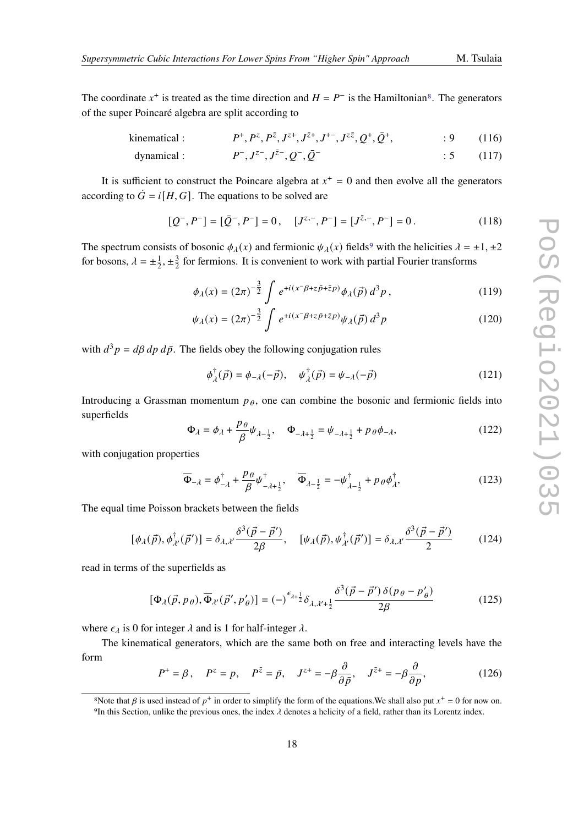The coordinate  $x^+$  is treated as the time direction and  $H = P^-$  is the Hamiltonian<sup>[8](#page-17-0)</sup>. The generators of the super Poincaré algebra are split according to

kinematical : 
$$
P^+, P^z, P^{\bar{z}}, J^{z+}, J^{\bar{z}+}, J^{+-}, J^{z\bar{z}}, Q^+, \bar{Q}^+, \qquad : 9
$$
 (116)

dynamical : 
$$
P^{-}
$$
,  $J^{z-}$ ,  $J^{\bar{z}-}$ ,  $Q^{-}$ ,  $\bar{Q}^{-}$  : 5 (117)

It is sufficient to construct the Poincare algebra at  $x^+=0$  and then evolve all the generators according to  $\dot{G} = i[H, G]$ . The equations to be solved are

$$
[Q^-, P^-] = [\bar{Q}^-, P^-] = 0, \quad [J^{z,-}, P^-] = [J^{\bar{z},-}, P^-] = 0.
$$
 (118)

The spectrum consists of bosonic  $\phi_{\lambda}(x)$  and fermionic  $\psi_{\lambda}(x)$  fields<sup>[9](#page-17-1)</sup> with the helicities  $\lambda = \pm 1, \pm 2$ for bosons,  $\lambda = \pm \frac{1}{2}$  $\frac{1}{2}, \pm \frac{3}{2}$  $\frac{3}{2}$  for fermions. It is convenient to work with partial Fourier transforms

$$
\phi_{\lambda}(x) = (2\pi)^{-\frac{3}{2}} \int e^{+i(x^{-}\beta + z\bar{p} + \bar{z}p)} \phi_{\lambda}(\vec{p}) d^{3}p , \qquad (119)
$$

$$
\psi_{\lambda}(x) = (2\pi)^{-\frac{3}{2}} \int e^{+i(x^{-}\beta + z\bar{p} + \bar{z}p)} \psi_{\lambda}(\vec{p}) d^{3}p
$$
\n(120)

with  $d^3 p = d\beta dp d\bar{p}$ . The fields obey the following conjugation rules

$$
\phi_{\lambda}^{\dagger}(\vec{p}) = \phi_{-\lambda}(-\vec{p}), \quad \psi_{\lambda}^{\dagger}(\vec{p}) = \psi_{-\lambda}(-\vec{p}) \tag{121}
$$

Introducing a Grassman momentum  $p_{\theta}$ , one can combine the bosonic and fermionic fields into superfields

$$
\Phi_{\lambda} = \phi_{\lambda} + \frac{p_{\theta}}{\beta} \psi_{\lambda - \frac{1}{2}}, \quad \Phi_{-\lambda + \frac{1}{2}} = \psi_{-\lambda + \frac{1}{2}} + p_{\theta} \phi_{-\lambda}, \tag{122}
$$

with conjugation properties

$$
\overline{\Phi}_{-\lambda} = \phi_{-\lambda}^{\dagger} + \frac{p_{\theta}}{\beta} \psi_{-\lambda + \frac{1}{2}}^{\dagger}, \quad \overline{\Phi}_{\lambda - \frac{1}{2}} = -\psi_{\lambda - \frac{1}{2}}^{\dagger} + p_{\theta} \phi_{\lambda}^{\dagger},
$$
\n(123)

The equal time Poisson brackets between the fields

$$
[\phi_{\lambda}(\vec{p}), \phi_{\lambda'}^{\dagger}(\vec{p}')] = \delta_{\lambda, \lambda'} \frac{\delta^{3}(\vec{p} - \vec{p}')}{2\beta}, \quad [\psi_{\lambda}(\vec{p}), \psi_{\lambda'}^{\dagger}(\vec{p}')] = \delta_{\lambda, \lambda'} \frac{\delta^{3}(\vec{p} - \vec{p}')}{2} \tag{124}
$$

read in terms of the superfields as

$$
[\Phi_{\lambda}(\vec{p}, p_{\theta}), \overline{\Phi}_{\lambda'}(\vec{p}', p'_{\theta})] = (-)^{\epsilon_{\lambda + \frac{1}{2}}}\delta_{\lambda, \lambda' + \frac{1}{2}} \frac{\delta^3(\vec{p} - \vec{p}') \delta(p_{\theta} - p'_{\theta})}{2\beta}
$$
(125)

where  $\epsilon_{\lambda}$  is 0 for integer  $\lambda$  and is 1 for half-integer  $\lambda$ .

The kinematical generators, which are the same both on free and interacting levels have the form

$$
P^+ = \beta, \quad P^z = p, \quad P^{\bar{z}} = \bar{p}, \quad J^{z+} = -\beta \frac{\partial}{\partial \bar{p}}, \quad J^{\bar{z}+} = -\beta \frac{\partial}{\partial p}, \tag{126}
$$

<span id="page-17-1"></span><span id="page-17-0"></span><sup>&</sup>lt;sup>8</sup>Note that  $\beta$  is used instead of  $p^+$  in order to simplify the form of the equations. We shall also put  $x^+ = 0$  for now on. 9In this Section, unlike the previous ones, the index  $\lambda$  denotes a helicity of a field, rather than its Lorentz index.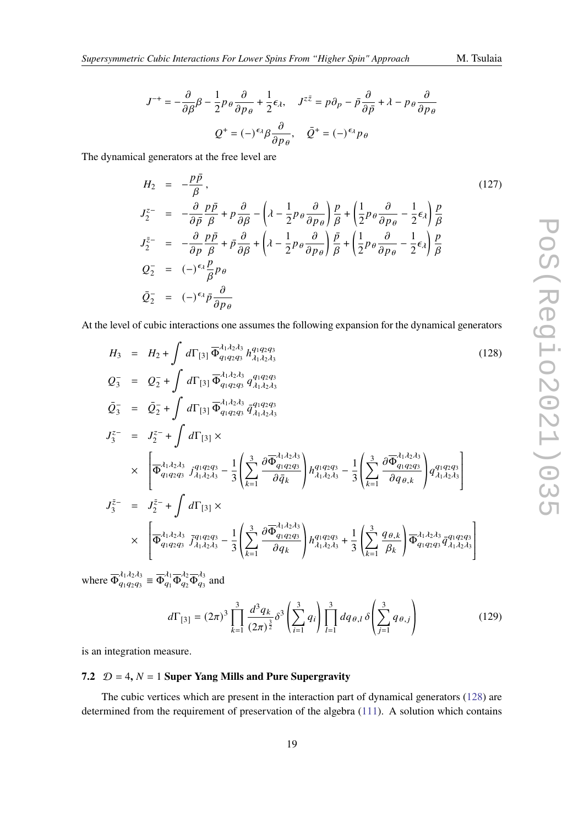$$
J^{-+} = -\frac{\partial}{\partial \beta} \beta - \frac{1}{2} p_{\theta} \frac{\partial}{\partial p_{\theta}} + \frac{1}{2} \epsilon_{\lambda}, \quad J^{z\bar{z}} = p \partial_p - \bar{p} \frac{\partial}{\partial \bar{p}} + \lambda - p_{\theta} \frac{\partial}{\partial p_{\theta}}
$$

$$
Q^{+} = (-)^{\epsilon_{\lambda}} \beta \frac{\partial}{\partial p_{\theta}}, \quad \bar{Q}^{+} = (-)^{\epsilon_{\lambda}} p_{\theta}
$$

The dynamical generators at the free level are

$$
H_2 = -\frac{p\bar{p}}{\beta}, \qquad (127)
$$
\n
$$
J_2^{z-} = -\frac{\partial}{\partial \bar{p}} \frac{p\bar{p}}{\beta} + p \frac{\partial}{\partial \beta} - \left(\lambda - \frac{1}{2}p_{\theta} \frac{\partial}{\partial p_{\theta}}\right) \frac{p}{\beta} + \left(\frac{1}{2}p_{\theta} \frac{\partial}{\partial p_{\theta}} - \frac{1}{2}\epsilon_{\lambda}\right) \frac{p}{\beta}
$$
\n
$$
J_2^{\bar{z}-} = -\frac{\partial}{\partial p} \frac{p\bar{p}}{\beta} + \bar{p} \frac{\partial}{\partial \beta} + \left(\lambda - \frac{1}{2}p_{\theta} \frac{\partial}{\partial p_{\theta}}\right) \frac{\bar{p}}{\beta} + \left(\frac{1}{2}p_{\theta} \frac{\partial}{\partial p_{\theta}} - \frac{1}{2}\epsilon_{\lambda}\right) \frac{p}{\beta}
$$
\n
$$
Q_2^{-} = (-)^{\epsilon_{\lambda}} \frac{p}{\beta} p_{\theta}
$$
\n
$$
\bar{Q}_2^{-} = (-)^{\epsilon_{\lambda}} \bar{p} \frac{\partial}{\partial p_{\theta}}
$$
\n(127)

At the level of cubic interactions one assumes the following expansion for the dynamical generators

<span id="page-18-0"></span>
$$
H_3 = H_2 + \int d\Gamma_{[3]} \overline{\Phi}_{q_1 q_2 q_3}^{J_1 J_2 J_3} h_{J_1 J_2 J_3}^{q_1 q_2 q_3} \qquad (128)
$$
\n
$$
Q_3^- = Q_2^- + \int d\Gamma_{[3]} \overline{\Phi}_{q_1 q_2 q_3}^{J_1 J_2 J_3} q_{J_1 J_2 J_3}^{q_1 q_2 q_3} \qquad (128)
$$
\n
$$
\overline{Q}_3^- = \overline{Q}_2^- + \int d\Gamma_{[3]} \overline{\Phi}_{q_1 q_2 q_3}^{J_1 J_2 J_3} \overline{q}_{J_1 J_2 J_3}^{q_1 q_2 q_3} \qquad (129)
$$
\n
$$
J_3^{z-} = J_2^{z-} + \int d\Gamma_{[3]} \times \left[ \overline{\Phi}_{q_1 q_2 q_3}^{J_1 J_2 J_3} j_{J_1 J_2 J_3}^{q_1 q_2 q_3} - \frac{1}{3} \left( \sum_{k=1}^3 \frac{\partial \overline{\Phi}_{q_1 q_2 q_3}^{J_1 J_2 J_3}}{\partial \overline{q}_k} \right) h_{J_1 J_2 J_3}^{q_1 q_2 q_3} - \frac{1}{3} \left( \sum_{k=1}^3 \frac{\partial \overline{\Phi}_{q_1 q_2 q_3}^{J_1 J_2 J_3}}{\partial q_{\theta, k}} \right) q_{J_1 J_2 J_3}^{q_1 q_2 q_3} \right]
$$
\n
$$
J_3^{\bar{z}-} = J_2^{\bar{z}-} + \int d\Gamma_{[3]} \times \left[ \overline{\Phi}_{q_1 q_2 q_3}^{J_1 J_2 J_3} \overline{J}_{J_1 J_2 J_3}^{q_1 q_2 q_3} - \frac{1}{3} \left( \sum_{k=1}^3 \frac{\partial \overline{\Phi}_{q_1 q_2 q_3}^{J_1 J_2 J_3}}{\partial q_k} \right) h_{J_1 J_2 J_3}^{q_1 q_2 q_3} + \frac{1}{3} \left( \sum_{k=1}^3 \frac{q_{\theta, k}}{\beta_k} \right) \overline{\Phi}_{q_1 q_2 q_3}^{J
$$

where  $\overline{\Phi}_{a_1a_2a_3}^{\lambda_1\lambda_2\lambda_3}$  $\frac{\lambda_1 \lambda_2 \lambda_3}{q_1 q_2 q_3} \equiv \overline{\Phi}_{q_1}^{\lambda_1} \overline{\Phi}_{q_2}^{\lambda_2} \overline{\Phi}_{q_3}^{\lambda_3}$  $\frac{\pi}{q_3}$  and

$$
d\Gamma_{[3]} = (2\pi)^3 \prod_{k=1}^3 \frac{d^3 q_k}{(2\pi)^{\frac{3}{2}}} \delta^3 \left( \sum_{i=1}^3 q_i \right) \prod_{l=1}^3 dq_{\theta,l} \delta \left( \sum_{j=1}^3 q_{\theta,j} \right)
$$
(129)

is an integration measure.

#### **7.2**  $D = 4$ ,  $N = 1$  Super Yang Mills and Pure Supergravity

The cubic vertices which are present in the interaction part of dynamical generators [\(128\)](#page-18-0) are determined from the requirement of preservation of the algebra [\(111\)](#page-16-1). A solution which contains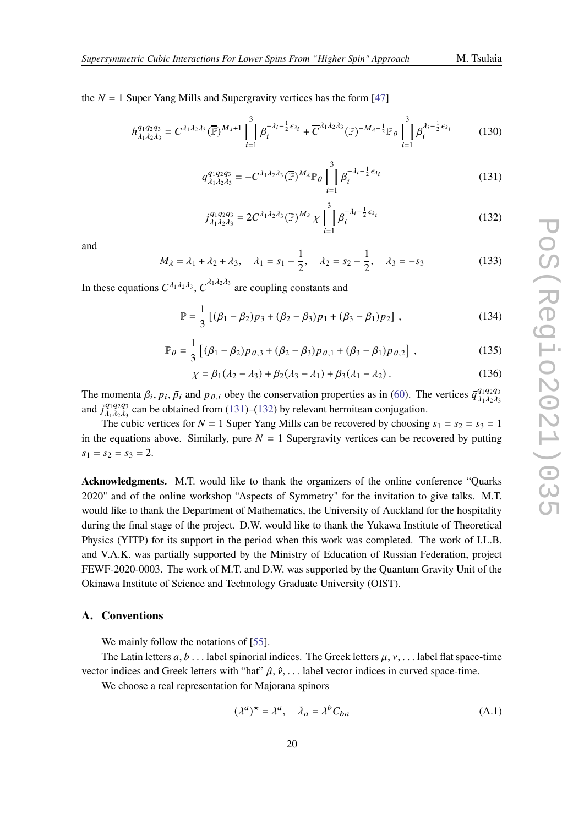the  $N = 1$  Super Yang Mills and Supergravity vertices has the form [\[47\]](#page-25-0)

$$
h_{\lambda_1\lambda_2\lambda_3}^{q_1q_2q_3} = C^{\lambda_1\lambda_2\lambda_3}(\overline{\mathbb{P}})^{M_{\lambda}+1} \prod_{i=1}^3 \beta_i^{-\lambda_i - \frac{1}{2}\epsilon_{\lambda_i}} + \overline{C}^{\lambda_1\lambda_2\lambda_3}(\mathbb{P})^{-M_{\lambda} - \frac{1}{2}} \mathbb{P}_{\theta} \prod_{i=1}^3 \beta_i^{\lambda_i - \frac{1}{2}\epsilon_{\lambda_i}}
$$
(130)

<span id="page-19-1"></span>
$$
q_{\lambda_1\lambda_2\lambda_3}^{q_1q_2q_3} = -C^{\lambda_1\lambda_2\lambda_3}(\overline{\mathbb{P}})^{M_\lambda} \mathbb{P}_{\theta} \prod_{i=1}^3 \beta_i^{-\lambda_i - \frac{1}{2}\epsilon_{\lambda_i}}
$$
(131)

<span id="page-19-2"></span>
$$
j_{\lambda_1 \lambda_2 \lambda_3}^{q_1 q_2 q_3} = 2C^{\lambda_1 \lambda_2 \lambda_3} (\overline{\mathbb{P}})^{M_\lambda} \chi \prod_{i=1}^3 \beta_i^{-\lambda_i - \frac{1}{2} \epsilon_{\lambda_i}}
$$
(132)

and

$$
M_{\lambda} = \lambda_1 + \lambda_2 + \lambda_3, \quad \lambda_1 = s_1 - \frac{1}{2}, \quad \lambda_2 = s_2 - \frac{1}{2}, \quad \lambda_3 = -s_3 \tag{133}
$$

In these equations  $C^{\lambda_1 \lambda_2 \lambda_3}$ ,  $\overline{C}^{\lambda_1 \lambda_2 \lambda_3}$  are coupling constants and

$$
\mathbb{P} = \frac{1}{3} \left[ (\beta_1 - \beta_2) p_3 + (\beta_2 - \beta_3) p_1 + (\beta_3 - \beta_1) p_2 \right],
$$
 (134)

$$
\mathbb{P}_{\theta} = \frac{1}{3} \left[ (\beta_1 - \beta_2) p_{\theta,3} + (\beta_2 - \beta_3) p_{\theta,1} + (\beta_3 - \beta_1) p_{\theta,2} \right],
$$
 (135)

$$
\chi = \beta_1(\lambda_2 - \lambda_3) + \beta_2(\lambda_3 - \lambda_1) + \beta_3(\lambda_1 - \lambda_2).
$$
 (136)

The momenta  $\beta_i$ ,  $p_i$ ,  $\bar{p}_i$  and  $p_{\theta,i}$  obey the conservation properties as in [\(60\)](#page-9-7). The vertices  $\bar{q}_{j_1j_2j_3}^{q_1q_2q_3}$  $\tilde{\lambda}_1 \tilde{\lambda}_2 \tilde{\lambda}_3$ and  $\bar{J}_{\lambda_1 \lambda_2 \lambda_3}^{q_1 q_2 q_3}$  $\frac{q_1q_2q_3}{q_1q_2q_3}$  can be obtained from [\(131\)](#page-19-1)–[\(132\)](#page-19-2) by relevant hermitean conjugation.

The cubic vertices for  $N = 1$  Super Yang Mills can be recovered by choosing  $s_1 = s_2 = s_3 = 1$ in the equations above. Similarly, pure  $N = 1$  Supergravity vertices can be recovered by putting  $s_1 = s_2 = s_3 = 2.$ 

**Acknowledgments.** M.T. would like to thank the organizers of the online conference "Quarks 2020" and of the online workshop "Aspects of Symmetry" for the invitation to give talks. M.T. would like to thank the Department of Mathematics, the University of Auckland for the hospitality during the final stage of the project. D.W. would like to thank the Yukawa Institute of Theoretical Physics (YITP) for its support in the period when this work was completed. The work of I.L.B. and V.A.K. was partially supported by the Ministry of Education of Russian Federation, project FEWF-2020-0003. The work of M.T. and D.W. was supported by the Quantum Gravity Unit of the Okinawa Institute of Science and Technology Graduate University (OIST).

#### <span id="page-19-0"></span>**A. Conventions**

We mainly follow the notations of [\[55\]](#page-26-2).

The Latin letters  $a, b$ ... label spinorial indices. The Greek letters  $\mu, \nu, \ldots$  label flat space-time vector indices and Greek letters with "hat"  $\hat{\mu}, \hat{\nu}, \ldots$  label vector indices in curved space-time.

We choose a real representation for Majorana spinors

$$
(\lambda^a)^{\star} = \lambda^a, \quad \bar{\lambda}_a = \lambda^b C_{ba}
$$
 (A.1)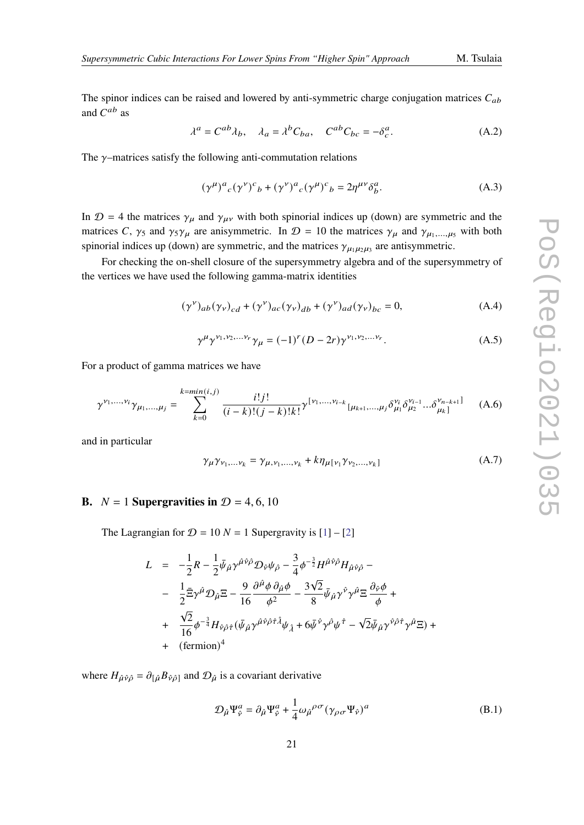The spinor indices can be raised and lowered by anti-symmetric charge conjugation matrices  $C_{ab}$ and  $C^{ab}$  as

$$
\lambda^{a} = C^{ab} \lambda_{b}, \quad \lambda_{a} = \lambda^{b} C_{ba}, \quad C^{ab} C_{bc} = -\delta_{c}^{a}.
$$
 (A.2)

The  $\gamma$ -matrices satisfy the following anti-commutation relations

$$
(\gamma^{\mu})^a{}_c(\gamma^{\nu})^c{}_b + (\gamma^{\nu})^a{}_c(\gamma^{\mu})^c{}_b = 2\eta^{\mu\nu}\delta^a_b.
$$
 (A.3)

In  $\mathcal{D} = 4$  the matrices  $\gamma_{\mu}$  and  $\gamma_{\mu\nu}$  with both spinorial indices up (down) are symmetric and the matrices C,  $\gamma_5$  and  $\gamma_5 \gamma_\mu$  are anisymmetric. In  $\mathcal{D} = 10$  the matrices  $\gamma_\mu$  and  $\gamma_{\mu_1,\dots,\mu_5}$  with both spinorial indices up (down) are symmetric, and the matrices  $\gamma_{\mu_1\mu_2\mu_3}$  are antisymmetric.

For checking the on-shell closure of the supersymmetry algebra and of the supersymmetry of the vertices we have used the following gamma-matrix identities

$$
(\gamma^{\nu})_{ab}(\gamma_{\nu})_{cd} + (\gamma^{\nu})_{ac}(\gamma_{\nu})_{db} + (\gamma^{\nu})_{ad}(\gamma_{\nu})_{bc} = 0, \qquad (A.4)
$$

$$
\gamma^{\mu} \gamma^{\nu_1, \nu_2, \dots \nu_r} \gamma_{\mu} = (-1)^r (D - 2r) \gamma^{\nu_1, \nu_2, \dots \nu_r}.
$$
 (A.5)

For a product of gamma matrices we have

$$
\gamma^{\nu_1,\dots,\nu_i}\gamma_{\mu_1,\dots,\mu_j} = \sum_{k=0}^{k=\min(i,j)} \frac{i!j!}{(i-k)!(j-k)!k!} \gamma^{\nu_1,\dots,\nu_{i-k}}_{k[\mu_{k+1},\dots,\mu_j]}\delta^{\nu_i}_{\mu_1}\delta^{\nu_{i-1}}_{\mu_2}\dots\delta^{\nu_{n-k+1}]}_{\mu_k]} \tag{A.6}
$$

and in particular

$$
\gamma_{\mu} \gamma_{\nu_1, \dots, \nu_k} = \gamma_{\mu, \nu_1, \dots, \nu_k} + k \eta_{\mu[\nu_1} \gamma_{\nu_2, \dots, \nu_k]}
$$
(A.7)

#### <span id="page-20-0"></span>**B.**  $N = 1$  **Supergravities in**  $D = 4, 6, 10$

The Lagrangian for  $\mathcal{D} = 10 N = 1$  Supergravity is  $[1] - [2]$  $[1] - [2]$  $[1] - [2]$ 

$$
L = -\frac{1}{2}R - \frac{1}{2}\bar{\psi}_{\hat{\mu}}\gamma^{\hat{\mu}\hat{\nu}\hat{\rho}}\mathcal{D}_{\hat{\nu}}\psi_{\hat{\rho}} - \frac{3}{4}\phi^{-\frac{3}{2}}H^{\hat{\mu}\hat{\nu}\hat{\rho}}H_{\hat{\mu}\hat{\nu}\hat{\rho}} - - \frac{1}{2}\bar{\Xi}\gamma^{\hat{\mu}}\mathcal{D}_{\hat{\mu}}\Xi - \frac{9}{16}\frac{\partial^{\hat{\mu}}\phi}{\phi^2} - \frac{3\sqrt{2}}{8}\bar{\psi}_{\hat{\mu}}\gamma^{\hat{\nu}}\gamma^{\hat{\mu}}\Xi\frac{\partial_{\hat{\nu}}\phi}{\phi} + + \frac{\sqrt{2}}{16}\phi^{-\frac{3}{4}}H_{\hat{\nu}\hat{\rho}\hat{\tau}}(\bar{\psi}_{\hat{\mu}}\gamma^{\hat{\mu}\hat{\nu}\hat{\rho}\hat{\tau}\hat{\lambda}}\psi_{\hat{\lambda}} + 6\bar{\psi}^{\hat{\nu}}\gamma^{\hat{\rho}}\psi^{\hat{\tau}} - \sqrt{2}\bar{\psi}_{\hat{\mu}}\gamma^{\hat{\nu}\hat{\rho}\hat{\tau}}\gamma^{\hat{\mu}}\Xi) + + (\text{fermion})^4
$$

where  $H_{\hat{\mu}\hat{\nu}\hat{\rho}} = \partial_{[\hat{\mu}}B_{\hat{\nu}\hat{\rho}]}$  and  $\mathcal{D}_{\hat{\mu}}$  is a covariant derivative

$$
\mathcal{D}_{\hat{\mu}} \Psi_{\hat{\nu}}^a = \partial_{\hat{\mu}} \Psi_{\hat{\nu}}^a + \frac{1}{4} \omega_{\hat{\mu}}^{\rho \sigma} (\gamma_{\rho \sigma} \Psi_{\hat{\nu}})^a
$$
 (B.1)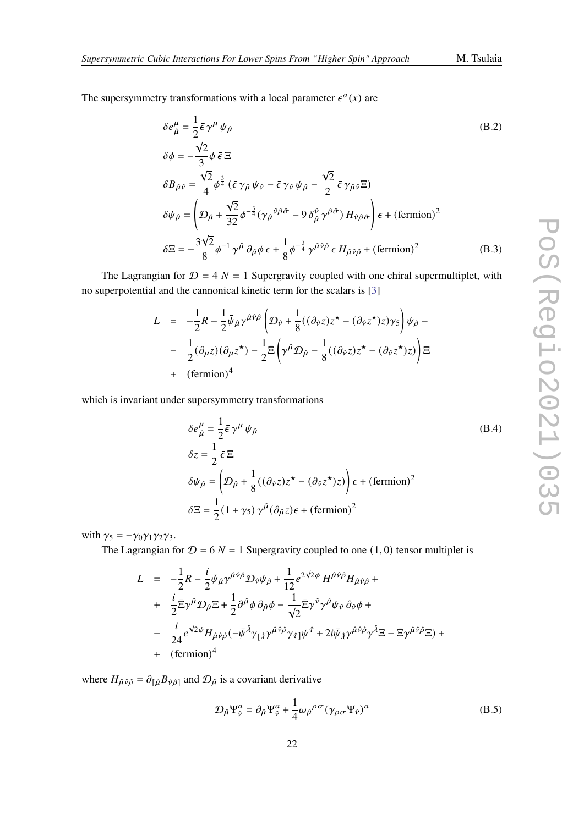The supersymmetry transformations with a local parameter  $\epsilon^a(x)$  are

$$
\delta e^{\mu}_{\hat{\mu}} = \frac{1}{2} \bar{\epsilon} \gamma^{\mu} \psi_{\hat{\mu}}
$$
\n
$$
\delta \phi = -\frac{\sqrt{2}}{3} \phi \bar{\epsilon} \Xi
$$
\n
$$
\delta B_{\hat{\mu}\hat{\nu}} = \frac{\sqrt{2}}{4} \phi^{\frac{3}{4}} (\bar{\epsilon} \gamma_{\hat{\mu}} \psi_{\hat{\nu}} - \bar{\epsilon} \gamma_{\hat{\nu}} \psi_{\hat{\mu}} - \frac{\sqrt{2}}{2} \bar{\epsilon} \gamma_{\hat{\mu}\hat{\nu}} \Xi)
$$
\n
$$
\delta \psi_{\hat{\mu}} = \left( \mathcal{D}_{\hat{\mu}} + \frac{\sqrt{2}}{32} \phi^{-\frac{3}{4}} (\gamma_{\hat{\mu}}{}^{\hat{\nu}\hat{\rho}\hat{\sigma}} - 9 \delta_{\hat{\mu}}^{\hat{\nu}} \gamma^{\hat{\rho}\hat{\sigma}}) H_{\hat{\nu}\hat{\rho}\hat{\sigma}} \right) \epsilon + (\text{fermion})^2
$$
\n
$$
\delta \Xi = -\frac{3\sqrt{2}}{8} \phi^{-1} \gamma^{\hat{\mu}} \partial_{\hat{\mu}} \phi \epsilon + \frac{1}{8} \phi^{-\frac{3}{4}} \gamma^{\hat{\mu}\hat{\nu}\hat{\rho}} \epsilon H_{\hat{\mu}\hat{\nu}\hat{\rho}} + (\text{fermion})^2 \tag{B.3}
$$

The Lagrangian for  $D = 4 N = 1$  Supergravity coupled with one chiral supermultiplet, with no superpotential and the cannonical kinetic term for the scalars is [\[3\]](#page-22-2)

$$
L = -\frac{1}{2}R - \frac{1}{2}\bar{\psi}_{\hat{\mu}}\gamma^{\hat{\mu}\hat{\nu}\hat{\rho}}\left(\mathcal{D}_{\hat{\nu}} + \frac{1}{8}((\partial_{\hat{\nu}}z)z^{\star} - (\partial_{\hat{\nu}}z^{\star})z)\gamma_{5}\right)\psi_{\hat{\rho}} - - \frac{1}{2}(\partial_{\mu}z)(\partial_{\mu}z^{\star}) - \frac{1}{2}\bar{\Xi}\left(\gamma^{\hat{\mu}}\mathcal{D}_{\hat{\mu}} - \frac{1}{8}((\partial_{\hat{\nu}}z)z^{\star} - (\partial_{\hat{\nu}}z^{\star})z)\right)\Xi + (\text{fermion})^{4}
$$

which is invariant under supersymmetry transformations

$$
\delta e^{\mu}_{\hat{\mu}} = \frac{1}{2} \bar{\epsilon} \gamma^{\mu} \psi_{\hat{\mu}}
$$
\n
$$
\delta z = \frac{1}{2} \bar{\epsilon} \Xi
$$
\n
$$
\delta \psi_{\hat{\mu}} = \left( \mathcal{D}_{\hat{\mu}} + \frac{1}{8} ((\partial_{\hat{\nu}} z) z^{\star} - (\partial_{\hat{\nu}} z^{\star}) z) \right) \epsilon + (\text{fermion})^2
$$
\n
$$
\delta \Xi = \frac{1}{2} (1 + \gamma_5) \gamma^{\hat{\mu}} (\partial_{\hat{\mu}} z) \epsilon + (\text{fermion})^2
$$

with  $\gamma_5 = -\gamma_0 \gamma_1 \gamma_2 \gamma_3$ .

The Lagrangian for  $D = 6 N = 1$  Supergravity coupled to one (1,0) tensor multiplet is

$$
L = -\frac{1}{2}R - \frac{i}{2}\bar{\psi}_{\hat{\mu}}\gamma^{\hat{\mu}\hat{\nu}\hat{\rho}}\mathcal{D}_{\hat{\nu}}\psi_{\hat{\rho}} + \frac{1}{12}e^{2\sqrt{2}\phi}H^{\hat{\mu}\hat{\nu}\hat{\rho}}H_{\hat{\mu}\hat{\nu}\hat{\rho}} +
$$
  
+ 
$$
\frac{i}{2}\bar{\Xi}\gamma^{\hat{\mu}}\mathcal{D}_{\hat{\mu}}\Xi + \frac{1}{2}\partial^{\hat{\mu}}\phi\partial_{\hat{\mu}}\phi - \frac{1}{\sqrt{2}}\bar{\Xi}\gamma^{\hat{\nu}}\gamma^{\hat{\mu}}\psi_{\hat{\nu}}\partial_{\hat{\nu}}\phi +
$$
  
- 
$$
\frac{i}{24}e^{\sqrt{2}\phi}H_{\hat{\mu}\hat{\nu}\hat{\rho}}(-\bar{\psi}^{\hat{\lambda}}\gamma_{[\hat{\lambda}}\gamma^{\hat{\mu}\hat{\nu}\hat{\rho}}\gamma_{\hat{\tau}]\psi^{\hat{\tau}} + 2i\bar{\psi}_{\hat{\lambda}}\gamma^{\hat{\mu}\hat{\nu}\hat{\rho}}\gamma^{\hat{\lambda}}\Xi - \bar{\Xi}\gamma^{\hat{\mu}\hat{\nu}\hat{\rho}}\Xi) +
$$
  
+ (fermion)<sup>4</sup>

where  $H_{\hat{\mu}\hat{\nu}\hat{\rho}} = \partial_{[\hat{\mu}}B_{\hat{\nu}\hat{\rho}]}$  and  $\mathcal{D}_{\hat{\mu}}$  is a covariant derivative

$$
\mathcal{D}_{\hat{\mu}} \Psi_{\hat{\nu}}^a = \partial_{\hat{\mu}} \Psi_{\hat{\nu}}^a + \frac{1}{4} \omega_{\hat{\mu}}^{\rho \sigma} (\gamma_{\rho \sigma} \Psi_{\hat{\nu}})^a \tag{B.5}
$$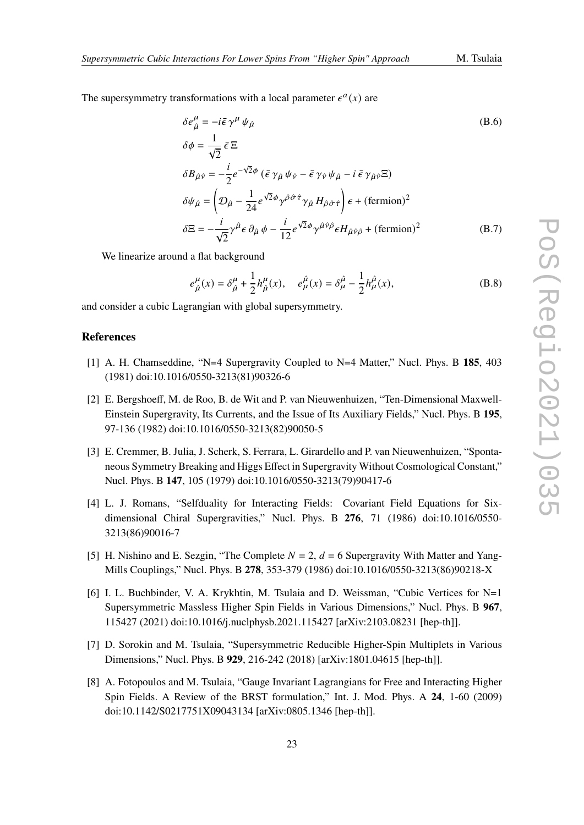The supersymmetry transformations with a local parameter  $\epsilon^a(x)$  are

$$
\delta e^{\mu}_{\hat{\mu}} = -i\bar{\epsilon}\gamma^{\mu}\psi_{\hat{\mu}}
$$
\n
$$
\delta\phi = \frac{1}{\sqrt{2}}\bar{\epsilon}\Xi
$$
\n
$$
\delta B_{\hat{\mu}\hat{\nu}} = -\frac{i}{2}e^{-\sqrt{2}\phi}(\bar{\epsilon}\gamma_{\hat{\mu}}\psi_{\hat{\nu}} - \bar{\epsilon}\gamma_{\hat{\nu}}\psi_{\hat{\mu}} - i\bar{\epsilon}\gamma_{\hat{\mu}\hat{\nu}}\Xi)
$$
\n
$$
\delta\psi_{\hat{\mu}} = \left(\mathcal{D}_{\hat{\mu}} - \frac{1}{24}e^{\sqrt{2}\phi}\gamma^{\hat{\rho}\hat{\sigma}\hat{\tau}}\gamma_{\hat{\mu}}H_{\hat{\rho}\hat{\sigma}\hat{\tau}}\right)\epsilon + (\text{fermion})^2
$$
\n
$$
\delta\Xi = -\frac{i}{\sqrt{2}}\gamma^{\hat{\mu}}\epsilon\,\partial_{\hat{\mu}}\,\phi - \frac{i}{12}e^{\sqrt{2}\phi}\gamma^{\hat{\mu}\hat{\nu}\hat{\rho}}\epsilon H_{\hat{\mu}\hat{\nu}\hat{\rho}} + (\text{fermion})^2
$$
\n(B.7)

We linearize around a flat background

$$
e^{\mu}_{\hat{\mu}}(x) = \delta^{\mu}_{\hat{\mu}} + \frac{1}{2}h^{\mu}_{\hat{\mu}}(x), \quad e^{\hat{\mu}}_{\mu}(x) = \delta^{\hat{\mu}}_{\mu} - \frac{1}{2}h^{\hat{\mu}}_{\mu}(x),
$$
 (B.8)

and consider a cubic Lagrangian with global supersymmetry.

#### **References**

- <span id="page-22-0"></span>[1] A. H. Chamseddine, "N=4 Supergravity Coupled to N=4 Matter," Nucl. Phys. B **185**, 403 (1981) doi:10.1016/0550-3213(81)90326-6
- <span id="page-22-1"></span>[2] E. Bergshoeff, M. de Roo, B. de Wit and P. van Nieuwenhuizen, "Ten-Dimensional Maxwell-Einstein Supergravity, Its Currents, and the Issue of Its Auxiliary Fields," Nucl. Phys. B **195**, 97-136 (1982) doi:10.1016/0550-3213(82)90050-5
- <span id="page-22-2"></span>[3] E. Cremmer, B. Julia, J. Scherk, S. Ferrara, L. Girardello and P. van Nieuwenhuizen, "Spontaneous Symmetry Breaking and Higgs Effect in Supergravity Without Cosmological Constant," Nucl. Phys. B **147**, 105 (1979) doi:10.1016/0550-3213(79)90417-6
- <span id="page-22-3"></span>[4] L. J. Romans, "Selfduality for Interacting Fields: Covariant Field Equations for Sixdimensional Chiral Supergravities," Nucl. Phys. B **276**, 71 (1986) doi:10.1016/0550- 3213(86)90016-7
- <span id="page-22-4"></span>[5] H. Nishino and E. Sezgin, "The Complete  $N = 2$ ,  $d = 6$  Supergravity With Matter and Yang-Mills Couplings," Nucl. Phys. B **278**, 353-379 (1986) doi:10.1016/0550-3213(86)90218-X
- <span id="page-22-5"></span>[6] I. L. Buchbinder, V. A. Krykhtin, M. Tsulaia and D. Weissman, "Cubic Vertices for N=1 Supersymmetric Massless Higher Spin Fields in Various Dimensions," Nucl. Phys. B **967**, 115427 (2021) doi:10.1016/j.nuclphysb.2021.115427 [arXiv:2103.08231 [hep-th]].
- <span id="page-22-6"></span>[7] D. Sorokin and M. Tsulaia, "Supersymmetric Reducible Higher-Spin Multiplets in Various Dimensions," Nucl. Phys. B **929**, 216-242 (2018) [arXiv:1801.04615 [hep-th]].
- <span id="page-22-7"></span>[8] A. Fotopoulos and M. Tsulaia, "Gauge Invariant Lagrangians for Free and Interacting Higher Spin Fields. A Review of the BRST formulation," Int. J. Mod. Phys. A **24**, 1-60 (2009) doi:10.1142/S0217751X09043134 [arXiv:0805.1346 [hep-th]].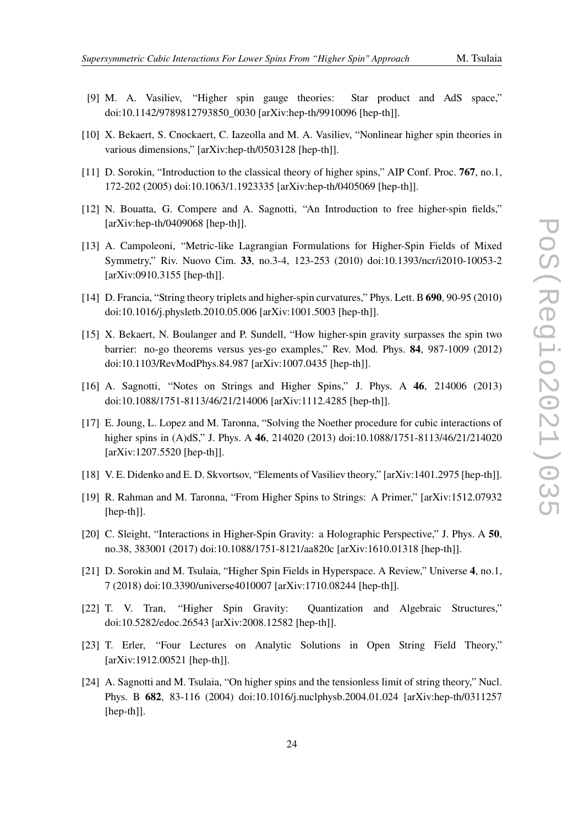- 
- <span id="page-23-1"></span>[9] M. A. Vasiliev, "Higher spin gauge theories: Star product and AdS space," doi:10.1142/9789812793850\_0030 [arXiv:hep-th/9910096 [hep-th]].
- [10] X. Bekaert, S. Cnockaert, C. Iazeolla and M. A. Vasiliev, "Nonlinear higher spin theories in various dimensions," [arXiv:hep-th/0503128 [hep-th]].
- [11] D. Sorokin, "Introduction to the classical theory of higher spins," AIP Conf. Proc. **767**, no.1, 172-202 (2005) doi:10.1063/1.1923335 [arXiv:hep-th/0405069 [hep-th]].
- [12] N. Bouatta, G. Compere and A. Sagnotti, "An Introduction to free higher-spin fields," [arXiv:hep-th/0409068 [hep-th]].
- [13] A. Campoleoni, "Metric-like Lagrangian Formulations for Higher-Spin Fields of Mixed Symmetry," Riv. Nuovo Cim. **33**, no.3-4, 123-253 (2010) doi:10.1393/ncr/i2010-10053-2 [arXiv:0910.3155 [hep-th]].
- [14] D. Francia, "String theory triplets and higher-spin curvatures," Phys. Lett. B **690**, 90-95 (2010) doi:10.1016/j.physletb.2010.05.006 [arXiv:1001.5003 [hep-th]].
- [15] X. Bekaert, N. Boulanger and P. Sundell, "How higher-spin gravity surpasses the spin two barrier: no-go theorems versus yes-go examples," Rev. Mod. Phys. **84**, 987-1009 (2012) doi:10.1103/RevModPhys.84.987 [arXiv:1007.0435 [hep-th]].
- [16] A. Sagnotti, "Notes on Strings and Higher Spins," J. Phys. A **46**, 214006 (2013) doi:10.1088/1751-8113/46/21/214006 [arXiv:1112.4285 [hep-th]].
- [17] E. Joung, L. Lopez and M. Taronna, "Solving the Noether procedure for cubic interactions of higher spins in (A)dS," J. Phys. A **46**, 214020 (2013) doi:10.1088/1751-8113/46/21/214020 [arXiv:1207.5520 [hep-th]].
- [18] V. E. Didenko and E. D. Skvortsov, "Elements of Vasiliev theory," [arXiv:1401.2975 [hep-th]].
- [19] R. Rahman and M. Taronna, "From Higher Spins to Strings: A Primer," [arXiv:1512.07932 [hep-th]].
- [20] C. Sleight, "Interactions in Higher-Spin Gravity: a Holographic Perspective," J. Phys. A **50**, no.38, 383001 (2017) doi:10.1088/1751-8121/aa820c [arXiv:1610.01318 [hep-th]].
- [21] D. Sorokin and M. Tsulaia, "Higher Spin Fields in Hyperspace. A Review," Universe **4**, no.1, 7 (2018) doi:10.3390/universe4010007 [arXiv:1710.08244 [hep-th]].
- <span id="page-23-2"></span>[22] T. V. Tran, "Higher Spin Gravity: Quantization and Algebraic Structures," doi:10.5282/edoc.26543 [arXiv:2008.12582 [hep-th]].
- <span id="page-23-3"></span>[23] T. Erler, "Four Lectures on Analytic Solutions in Open String Field Theory," [arXiv:1912.00521 [hep-th]].
- <span id="page-23-0"></span>[24] A. Sagnotti and M. Tsulaia, "On higher spins and the tensionless limit of string theory," Nucl. Phys. B **682**, 83-116 (2004) doi:10.1016/j.nuclphysb.2004.01.024 [arXiv:hep-th/0311257 [hep-th]].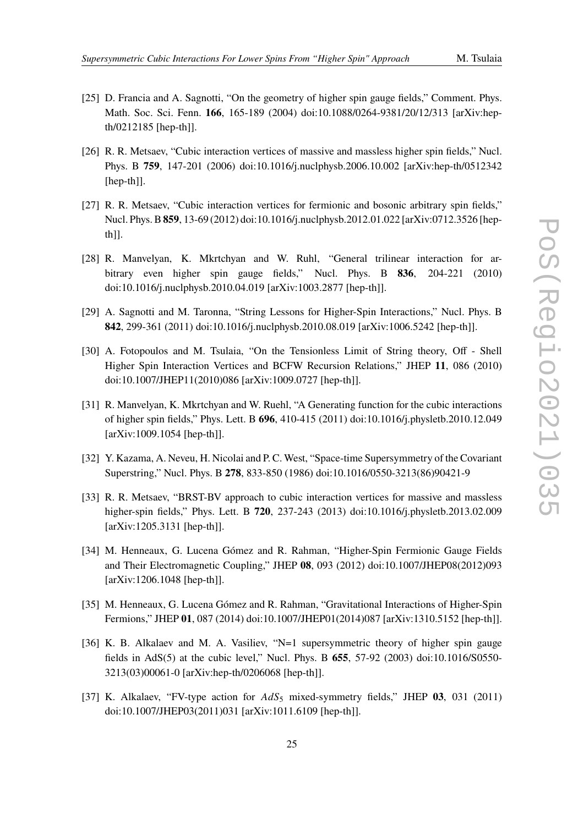- 
- <span id="page-24-0"></span>[25] D. Francia and A. Sagnotti, "On the geometry of higher spin gauge fields," Comment. Phys. Math. Soc. Sci. Fenn. **166**, 165-189 (2004) doi:10.1088/0264-9381/20/12/313 [arXiv:hepth/0212185 [hep-th]].
- <span id="page-24-1"></span>[26] R. R. Metsaev, "Cubic interaction vertices of massive and massless higher spin fields," Nucl. Phys. B **759**, 147-201 (2006) doi:10.1016/j.nuclphysb.2006.10.002 [arXiv:hep-th/0512342 [hep-th]].
- <span id="page-24-6"></span>[27] R. R. Metsaev, "Cubic interaction vertices for fermionic and bosonic arbitrary spin fields," Nucl. Phys. B**859**, 13-69 (2012) doi:10.1016/j.nuclphysb.2012.01.022 [arXiv:0712.3526 [hepth]].
- [28] R. Manvelyan, K. Mkrtchyan and W. Ruhl, "General trilinear interaction for arbitrary even higher spin gauge fields," Nucl. Phys. B **836**, 204-221 (2010) doi:10.1016/j.nuclphysb.2010.04.019 [arXiv:1003.2877 [hep-th]].
- [29] A. Sagnotti and M. Taronna, "String Lessons for Higher-Spin Interactions," Nucl. Phys. B **842**, 299-361 (2011) doi:10.1016/j.nuclphysb.2010.08.019 [arXiv:1006.5242 [hep-th]].
- <span id="page-24-4"></span>[30] A. Fotopoulos and M. Tsulaia, "On the Tensionless Limit of String theory, Off - Shell Higher Spin Interaction Vertices and BCFW Recursion Relations," JHEP **11**, 086 (2010) doi:10.1007/JHEP11(2010)086 [arXiv:1009.0727 [hep-th]].
- <span id="page-24-2"></span>[31] R. Manvelyan, K. Mkrtchyan and W. Ruehl, "A Generating function for the cubic interactions of higher spin fields," Phys. Lett. B **696**, 410-415 (2011) doi:10.1016/j.physletb.2010.12.049 [arXiv:1009.1054 [hep-th]].
- <span id="page-24-3"></span>[32] Y. Kazama, A. Neveu, H. Nicolai and P. C. West, "Space-time Supersymmetry of the Covariant Superstring," Nucl. Phys. B **278**, 833-850 (1986) doi:10.1016/0550-3213(86)90421-9
- <span id="page-24-5"></span>[33] R. R. Metsaev, "BRST-BV approach to cubic interaction vertices for massive and massless higher-spin fields," Phys. Lett. B **720**, 237-243 (2013) doi:10.1016/j.physletb.2013.02.009 [arXiv:1205.3131 [hep-th]].
- <span id="page-24-7"></span>[34] M. Henneaux, G. Lucena Gómez and R. Rahman, "Higher-Spin Fermionic Gauge Fields and Their Electromagnetic Coupling," JHEP **08**, 093 (2012) doi:10.1007/JHEP08(2012)093 [arXiv:1206.1048 [hep-th]].
- <span id="page-24-8"></span>[35] M. Henneaux, G. Lucena Gómez and R. Rahman, "Gravitational Interactions of Higher-Spin Fermions," JHEP **01**, 087 (2014) doi:10.1007/JHEP01(2014)087 [arXiv:1310.5152 [hep-th]].
- <span id="page-24-9"></span>[36] K. B. Alkalaev and M. A. Vasiliev, "N=1 supersymmetric theory of higher spin gauge fields in AdS(5) at the cubic level," Nucl. Phys. B **655**, 57-92 (2003) doi:10.1016/S0550- 3213(03)00061-0 [arXiv:hep-th/0206068 [hep-th]].
- [37] K. Alkalaev, "FV-type action for  $AdS_5$  mixed-symmetry fields," JHEP 03, 031 (2011) doi:10.1007/JHEP03(2011)031 [arXiv:1011.6109 [hep-th]].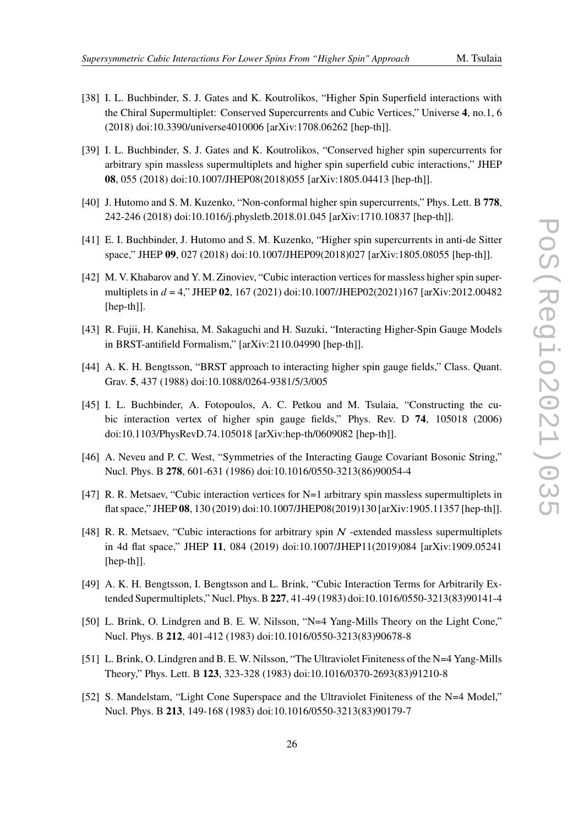- 
- [38] I. L. Buchbinder, S. J. Gates and K. Koutrolikos, "Higher Spin Superfield interactions with the Chiral Supermultiplet: Conserved Supercurrents and Cubic Vertices," Universe **4**, no.1, 6 (2018) doi:10.3390/universe4010006 [arXiv:1708.06262 [hep-th]].
- [39] I. L. Buchbinder, S. J. Gates and K. Koutrolikos, "Conserved higher spin supercurrents for arbitrary spin massless supermultiplets and higher spin superfield cubic interactions," JHEP **08**, 055 (2018) doi:10.1007/JHEP08(2018)055 [arXiv:1805.04413 [hep-th]].
- [40] J. Hutomo and S. M. Kuzenko, "Non-conformal higher spin supercurrents," Phys. Lett. B **778**, 242-246 (2018) doi:10.1016/j.physletb.2018.01.045 [arXiv:1710.10837 [hep-th]].
- [41] E. I. Buchbinder, J. Hutomo and S. M. Kuzenko, "Higher spin supercurrents in anti-de Sitter space," JHEP **09**, 027 (2018) doi:10.1007/JHEP09(2018)027 [arXiv:1805.08055 [hep-th]].
- [42] M. V. Khabarov and Y. M. Zinoviev, "Cubic interaction vertices for massless higher spin supermultiplets in = 4," JHEP **02**, 167 (2021) doi:10.1007/JHEP02(2021)167 [arXiv:2012.00482 [hep-th]].
- <span id="page-25-3"></span>[43] R. Fujii, H. Kanehisa, M. Sakaguchi and H. Suzuki, "Interacting Higher-Spin Gauge Models in BRST-antifield Formalism," [arXiv:2110.04990 [hep-th]].
- <span id="page-25-6"></span>[44] A. K. H. Bengtsson, "BRST approach to interacting higher spin gauge fields," Class. Quant. Grav. **5**, 437 (1988) doi:10.1088/0264-9381/5/3/005
- <span id="page-25-7"></span>[45] I. L. Buchbinder, A. Fotopoulos, A. C. Petkou and M. Tsulaia, "Constructing the cubic interaction vertex of higher spin gauge fields," Phys. Rev. D **74**, 105018 (2006) doi:10.1103/PhysRevD.74.105018 [arXiv:hep-th/0609082 [hep-th]].
- <span id="page-25-8"></span>[46] A. Neveu and P. C. West, "Symmetries of the Interacting Gauge Covariant Bosonic String," Nucl. Phys. B **278**, 601-631 (1986) doi:10.1016/0550-3213(86)90054-4
- <span id="page-25-0"></span>[47] R. R. Metsaev, "Cubic interaction vertices for N=1 arbitrary spin massless supermultiplets in flat space," JHEP **08**, 130 (2019) doi:10.1007/JHEP08(2019)130 [arXiv:1905.11357 [hep-th]].
- <span id="page-25-1"></span>[48] R. R. Metsaev, "Cubic interactions for arbitrary spin  $N$  -extended massless supermultiplets in 4d flat space," JHEP **11**, 084 (2019) doi:10.1007/JHEP11(2019)084 [arXiv:1909.05241 [hep-th]].
- <span id="page-25-2"></span>[49] A. K. H. Bengtsson, I. Bengtsson and L. Brink, "Cubic Interaction Terms for Arbitrarily Extended Supermultiplets," Nucl. Phys. B**227**, 41-49 (1983) doi:10.1016/0550-3213(83)90141-4
- <span id="page-25-4"></span>[50] L. Brink, O. Lindgren and B. E. W. Nilsson, "N=4 Yang-Mills Theory on the Light Cone," Nucl. Phys. B **212**, 401-412 (1983) doi:10.1016/0550-3213(83)90678-8
- [51] L. Brink, O. Lindgren and B. E. W. Nilsson, "The Ultraviolet Finiteness of the N=4 Yang-Mills Theory," Phys. Lett. B **123**, 323-328 (1983) doi:10.1016/0370-2693(83)91210-8
- <span id="page-25-5"></span>[52] S. Mandelstam, "Light Cone Superspace and the Ultraviolet Finiteness of the N=4 Model," Nucl. Phys. B **213**, 149-168 (1983) doi:10.1016/0550-3213(83)90179-7